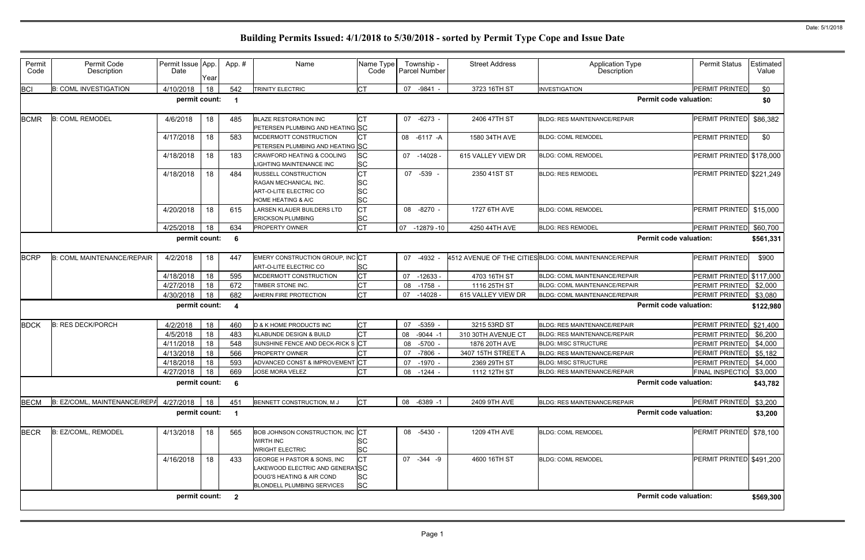| Permit<br>Code | Permit Code<br>Description        | Permit Issue App.<br>Date | Year | App.# | Name                                                                                                                      | Name Type<br>Code                         | Township -<br>Parcel Number | <b>Street Address</b> | <b>Application Type</b><br>Description                  | <b>Permit Status</b>     | Estimated<br>Value |
|----------------|-----------------------------------|---------------------------|------|-------|---------------------------------------------------------------------------------------------------------------------------|-------------------------------------------|-----------------------------|-----------------------|---------------------------------------------------------|--------------------------|--------------------|
| <b>BCI</b>     | <b>B: COML INVESTIGATION</b>      | 4/10/2018                 | 18   | 542   | <b>TRINITY ELECTRIC</b>                                                                                                   | <b>CT</b>                                 | 07 - 9841 -                 | 3723 16TH ST          | <b>INVESTIGATION</b>                                    | PERMIT PRINTED           | \$0                |
|                |                                   | permit count:             |      | - 1   |                                                                                                                           |                                           |                             |                       | <b>Permit code valuation:</b>                           |                          | \$0                |
| <b>BCMR</b>    | <b>B: COML REMODEL</b>            | 4/6/2018                  | 18   | 485   | <b>BLAZE RESTORATION INC</b><br>PETERSEN PLUMBING AND HEATING SC                                                          | <b>CT</b>                                 | 07<br>-6273 -               | 2406 47TH ST          | <b>BLDG: RES MAINTENANCE/REPAIR</b>                     | PERMIT PRINTED           | \$86,382           |
|                |                                   | 4/17/2018                 | 18   | 583   | MCDERMOTT CONSTRUCTION<br>PETERSEN PLUMBING AND HEATING SC                                                                | <b>CT</b>                                 | 08 -6117 -A                 | 1580 34TH AVE         | <b>BLDG: COML REMODEL</b>                               | PERMIT PRINTED           | \$0                |
|                |                                   | 4/18/2018                 | 18   | 183   | <b>CRAWFORD HEATING &amp; COOLING</b><br>LIGHTING MAINTENANCE INC                                                         | SC<br>SC                                  | $07 - 14028$                | 615 VALLEY VIEW DR    | <b>BLDG: COML REMODEL</b>                               | PERMIT PRINTED \$178,000 |                    |
|                |                                   | 4/18/2018                 | 18   | 484   | RUSSELL CONSTRUCTION<br>RAGAN MECHANICAL INC.<br><b>ART-O-LITE ELECTRIC CO</b><br><b>HOME HEATING &amp; A/C</b>           | <b>CT</b><br>SC<br><b>SC</b><br><b>SC</b> | 07 -539 -                   | 2350 41ST ST          | <b>BLDG: RES REMODEL</b>                                | PERMIT PRINTED \$221,249 |                    |
|                |                                   | 4/20/2018                 | 18   | 615   | LARSEN KLAUER BUILDERS LTD<br><b>ERICKSON PLUMBING</b>                                                                    | <b>CT</b><br>SC                           | 08 -8270 -                  | 1727 6TH AVE          | <b>BLDG: COML REMODEL</b>                               | PERMIT PRINTED \$15,000  |                    |
|                |                                   | 4/25/2018                 | 18   | 634   | <b>PROPERTY OWNER</b>                                                                                                     | <b>CT</b>                                 | 07 -12879 -10               | 4250 44TH AVE         | <b>BLDG: RES REMODEL</b>                                | PERMIT PRINTED \$60,700  |                    |
|                |                                   | permit count:             |      | 6     |                                                                                                                           |                                           |                             |                       | <b>Permit code valuation:</b>                           |                          | \$561,331          |
| <b>BCRP</b>    | <b>B: COML MAINTENANCE/REPAIR</b> | 4/2/2018                  | 18   | 447   | EMERY CONSTRUCTION GROUP, INC CT<br><b>ART-O-LITE ELECTRIC CO</b>                                                         | SC                                        | 07<br>-4932 -               |                       | 4512 AVENUE OF THE CITIES BLDG: COML MAINTENANCE/REPAIR | <b>PERMIT PRINTED</b>    | \$900              |
|                |                                   | 4/18/2018                 | 18   | 595   | MCDERMOTT CONSTRUCTION                                                                                                    | <b>CT</b>                                 | 07<br>$-12633 -$            | 4703 16TH ST          | <b>BLDG: COML MAINTENANCE/REPAIR</b>                    | PERMIT PRINTED \$117,000 |                    |
|                |                                   | 4/27/2018                 | 18   | 672   | TIMBER STONE INC.                                                                                                         | <b>CT</b>                                 | $-1758 -$<br>08             | 1116 25TH ST          | <b>BLDG: COML MAINTENANCE/REPAIR</b>                    | PERMIT PRINTED           | \$2,000            |
|                |                                   | 4/30/2018                 | 18   | 682   | AHERN FIRE PROTECTION                                                                                                     | <b>CT</b>                                 | 07<br>$-14028 -$            | 615 VALLEY VIEW DR    | <b>BLDG: COML MAINTENANCE/REPAIR</b>                    | PERMIT PRINTED           | \$3,080            |
|                |                                   | permit count:             |      | 4     |                                                                                                                           |                                           |                             |                       | <b>Permit code valuation:</b>                           |                          | \$122,980          |
| <b>BDCK</b>    | <b>B: RES DECK/PORCH</b>          | 4/2/2018                  | 18   | 460   | D & K HOME PRODUCTS INC                                                                                                   | СT                                        | $-5359 -$<br>07             | 3215 53RD ST          | <b>BLDG: RES MAINTENANCE/REPAIR</b>                     | PERMIT PRINTED \$21,400  |                    |
|                |                                   | 4/5/2018                  | 18   | 483   | KLABUNDE DESIGN & BUILD                                                                                                   | <b>CT</b>                                 | $-9044 - 1$<br>08           | 310 30TH AVENUE CT    | <b>BLDG: RES MAINTENANCE/REPAIR</b>                     | <b>PERMIT PRINTED</b>    | \$6,200            |
|                |                                   | 4/11/2018                 | 18   | 548   | SUNSHINE FENCE AND DECK-RICK S CT                                                                                         |                                           | 08<br>-5700 -               | 1876 20TH AVE         | <b>BLDG: MISC STRUCTURE</b>                             | PERMIT PRINTED           | \$4,000            |
|                |                                   | 4/13/2018                 | 18   | 566   | <b>PROPERTY OWNER</b>                                                                                                     | <b>CT</b>                                 | 07<br>$-7806 -$             | 3407 15TH STREET A    | <b>BLDG: RES MAINTENANCE/REPAIR</b>                     | PERMIT PRINTED           | \$5,182            |
|                |                                   | 4/18/2018                 | 18   | 593   | ADVANCED CONST & IMPROVEMENT CT                                                                                           |                                           | $-1970 -$<br>07             | 2369 29TH ST          | <b>BLDG: MISC STRUCTURE</b>                             | PERMIT PRINTED           | \$4,000            |
|                |                                   | 4/27/2018                 | 18   | 669   | JOSE MORA VELEZ                                                                                                           | <b>CT</b>                                 | 08 - 1244 -                 | 1112 12TH ST          | <b>BLDG: RES MAINTENANCE/REPAIR</b>                     | FINAL INSPECTIO \$3,000  |                    |
|                |                                   | permit count:             |      | -6    |                                                                                                                           |                                           |                             |                       | <b>Permit code valuation:</b>                           |                          | \$43,782           |
| <b>BECM</b>    | B: EZ/COML, MAINTENANCE/REPA      | 4/27/2018                 | 18   | 451   | BENNETT CONSTRUCTION, M J                                                                                                 | <b>CT</b>                                 | 08 -6389 -1                 | 2409 9TH AVE          | <b>BLDG: RES MAINTENANCE/REPAIR</b>                     | PERMIT PRINTED           | \$3,200            |
|                |                                   | permit count:             |      |       |                                                                                                                           |                                           |                             |                       | <b>Permit code valuation:</b>                           |                          | \$3,200            |
| <b>BECR</b>    | B: EZ/COML, REMODEL               | 4/13/2018                 | 18   | 565   | <b>BOB JOHNSON CONSTRUCTION, INC CT</b><br><b>WIRTH INC</b><br><b>WRIGHT ELECTRIC</b>                                     | SC<br>SC                                  | 08 -5430 -                  | 1209 4TH AVE          | <b>BLDG: COML REMODEL</b>                               | PERMIT PRINTED           | \$78,100           |
|                |                                   | 4/16/2018                 | 18   | 433   | GEORGE H PASTOR & SONS, INC<br>LAKEWOOD ELECTRIC AND GENERATSC<br>DOUG'S HEATING & AIR COND<br>BLONDELL PLUMBING SERVICES | <b>CT</b><br>SC<br><b>SC</b>              | 07 -344 -9                  | 4600 16TH ST          | <b>BLDG: COML REMODEL</b>                               | PERMIT PRINTED \$491,200 |                    |
|                |                                   | permit count: 2           |      |       |                                                                                                                           |                                           |                             |                       | <b>Permit code valuation:</b>                           |                          | \$569,300          |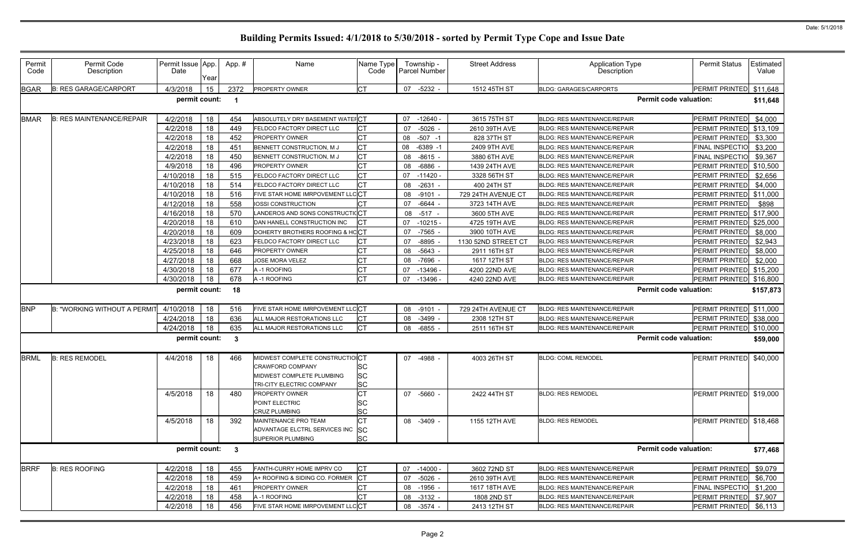| Permit<br>Code | Permit Code<br>Description         | Permit Issue App.<br>Date | Year | App.#        | Name                             | Name Type<br>Code | Township -<br>Parcel Number | <b>Street Address</b>        | <b>Application Type</b><br>Description | <b>Permit Status</b>          | <b>Estimated</b><br>Value |
|----------------|------------------------------------|---------------------------|------|--------------|----------------------------------|-------------------|-----------------------------|------------------------------|----------------------------------------|-------------------------------|---------------------------|
| <b>BGAR</b>    | <b>B: RES GARAGE/CARPORT</b>       | 4/3/2018                  | 15   | 2372         | <b>PROPERTY OWNER</b>            | <b>CT</b>         | $-5232 -$<br>07             | 1512 45TH ST                 | <b>BLDG: GARAGES/CARPORTS</b>          | PERMIT PRINTED                | \$11,648                  |
|                |                                    | permit count:             |      | - 1          |                                  |                   |                             |                              |                                        | <b>Permit code valuation:</b> | \$11,648                  |
| <b>BMAR</b>    | <b>B: RES MAINTENANCE/REPAIR</b>   | 4/2/2018                  | 18   | 454          | ABSOLUTELY DRY BASEMENT WATEFCT  |                   | 07<br>$-12640 -$            | 3615 75TH ST                 | <b>BLDG: RES MAINTENANCE/REPAIR</b>    | PERMIT PRINTED                | \$4,000                   |
|                |                                    | 4/2/2018                  | 18   | 449          | FELDCO FACTORY DIRECT LLC        | <b>CT</b>         | $-5026$<br>07               | 2610 39TH AVE                | <b>BLDG: RES MAINTENANCE/REPAIR</b>    | PERMIT PRINTED \$13,109       |                           |
|                |                                    | 4/2/2018                  | 18   | 452          | PROPERTY OWNER                   | СT                | $-507 - 1$<br>08            | 828 37TH ST                  | <b>BLDG: RES MAINTENANCE/REPAIR</b>    | PERMIT PRINTED                | \$3,300                   |
|                |                                    | 4/2/2018                  | 18   | 451          | BENNETT CONSTRUCTION, M J        | СT                | $-6389 - 1$<br>08           | 2409 9TH AVE                 | <b>BLDG: RES MAINTENANCE/REPAIR</b>    | <b>FINAL INSPECTIO</b>        | \$3,200                   |
|                |                                    | 4/2/2018                  | 18   | 450          | BENNETT CONSTRUCTION, M J        | СT                | $-8615$<br>08               | 3880 6TH AVE                 | <b>BLDG: RES MAINTENANCE/REPAIR</b>    | <b>FINAL INSPECTIO</b>        | \$9,367                   |
|                |                                    | 4/9/2018                  | 18   | 496          | <b>PROPERTY OWNER</b>            | <b>CT</b>         | 08<br>$-6886$               | 1439 24TH AVE                | <b>BLDG: RES MAINTENANCE/REPAIR</b>    | PERMIT PRINTED \$10,500       |                           |
|                |                                    | 4/10/2018                 | 18   | 515          | FELDCO FACTORY DIRECT LLC        | СT                | $-11420$<br>07              | 3328 56TH ST                 | BLDG: RES MAINTENANCE/REPAIR           | PERMIT PRINTED                | \$2,656                   |
|                |                                    | 4/10/2018                 | 18   | 514          | FELDCO FACTORY DIRECT LLC        | <b>CT</b>         | $-2631$<br>08               | 400 24TH ST                  | <b>BLDG: RES MAINTENANCE/REPAIR</b>    | <b>PERMIT PRINTED</b>         | \$4,000                   |
|                |                                    | 4/10/2018                 | 18   | 516          | FIVE STAR HOME IMRPOVEMENT LL    | .c <sup>CT</sup>  | 08<br>$-9101$               | 729 24TH AVENUE CT           | <b>BLDG: RES MAINTENANCE/REPAIR</b>    | PERMIT PRINTED                | \$11,000                  |
|                |                                    | 4/12/2018                 | 18   | 558          | IOSSI CONSTRUCTION               | <b>CT</b>         | 07<br>-6644                 | 3723 14TH AVE                | <b>BLDG: RES MAINTENANCE/REPAIR</b>    | <b>PERMIT PRINTED</b>         | \$898                     |
|                |                                    | 4/16/2018                 | 18   | 570          | LANDEROS AND SONS CONSTRUCTICCT  |                   | $-517$<br>08                | 3600 5TH AVE                 | BLDG: RES MAINTENANCE/REPAIR           | PERMIT PRINTED \$17,900       |                           |
|                |                                    | 4/20/2018                 | 18   | 610          | DAN HANELL CONSTRUCTION INC      | <b>CT</b>         | $-10215 -$<br>07            | 4725 19TH AVE                | BLDG: RES MAINTENANCE/REPAIR           | PERMIT PRINTED                | \$25,000                  |
|                |                                    | 4/20/2018                 | 18   | 609          | DOHERTY BROTHERS ROOFING & HCCT  |                   | $-7565$ -<br>07             | 3900 10TH AVE                | <b>BLDG: RES MAINTENANCE/REPAIR</b>    | PERMIT PRINTED                | \$8,000                   |
|                |                                    | 4/23/2018                 | 18   | 623          | FELDCO FACTORY DIRECT LLC        | <b>CT</b>         | $-8895$<br>07               | 1130 52ND STREET CT          | <b>BLDG: RES MAINTENANCE/REPAIR</b>    | PERMIT PRINTED                | \$2,943                   |
|                |                                    | 4/25/2018                 | 18   | 646          | PROPERTY OWNER                   | <b>CT</b>         | 08<br>$-5643 -$             | 2911 16TH ST                 | <b>BLDG: RES MAINTENANCE/REPAIR</b>    | PERMIT PRINTED                | \$8,000                   |
|                |                                    | 4/27/2018                 | 18   | 668          | <b>JOSE MORA VELEZ</b>           | СT                | $-7696$ -<br>08             | 1617 12TH ST                 | <b>BLDG: RES MAINTENANCE/REPAIR</b>    | PERMIT PRINTED                | \$2,000                   |
|                |                                    | 4/30/2018                 | 18   | 677          | A-1 ROOFING                      | <b>CT</b>         | 07<br>$-13496 -$            | 4200 22ND AVE                | <b>BLDG: RES MAINTENANCE/REPAIR</b>    | PERMIT PRINTED \$15,200       |                           |
|                |                                    | 4/30/2018                 | 18   | 678          | A-1 ROOFING                      | <b>CT</b>         | 07<br>$-13496$              | 4240 22ND AVE                | <b>BLDG: RES MAINTENANCE/REPAIR</b>    | PERMIT PRINTED                | \$16,800                  |
|                |                                    | permit count:             |      | 18           |                                  |                   |                             |                              |                                        | <b>Permit code valuation:</b> | \$157,873                 |
| <b>BNP</b>     | <b>B: "WORKING WITHOUT A PERMI</b> | 4/10/2018                 | 18   | 516          | FIVE STAR HOME IMRPOVEMENT LI    | .c <sup></sup> CT | $-9101$<br>08               | 729 24TH AVENUE CT           | <b>BLDG: RES MAINTENANCE/REPAIR</b>    | PERMIT PRINTED \$11,000       |                           |
|                |                                    | 4/24/2018                 | 18   | 636          | ALL MAJOR RESTORATIONS LLC       | <b>CT</b>         | $-3499$ $-$<br>08           | 2308 12TH ST                 | <b>BLDG: RES MAINTENANCE/REPAIR</b>    | PERMIT PRINTED                | \$38,000                  |
|                |                                    | 4/24/2018                 | 18   | 635          | ALL MAJOR RESTORATIONS LLC       | <b>CT</b>         | $-6855$<br>08               | 2511 16TH ST                 | BLDG: RES MAINTENANCE/REPAIR           | PERMIT PRINTED                | \$10,000                  |
|                |                                    | permit count:             |      | $\mathbf{3}$ |                                  |                   |                             |                              |                                        | <b>Permit code valuation:</b> | \$59,000                  |
| <b>BRML</b>    | <b>B: RES REMODEL</b>              | 4/4/2018                  | 18   | 466          | MIDWEST COMPLETE CONSTRUCTIOICT  |                   | -4988 -<br>07               | 4003 26TH ST                 | <b>BLDG: COML REMODEL</b>              | PERMIT PRINTED                | \$40,000                  |
|                |                                    |                           |      |              | CRAWFORD COMPANY                 | <b>SC</b>         |                             |                              |                                        |                               |                           |
|                |                                    |                           |      |              | MIDWEST COMPLETE PLUMBING        | lSC               |                             |                              |                                        |                               |                           |
|                |                                    |                           |      |              | TRI-CITY ELECTRIC COMPANY        | <b>SC</b>         |                             |                              |                                        |                               |                           |
|                |                                    | 4/5/2018                  | 18   | 480          | <b>PROPERTY OWNER</b>            | СT                | 07 -5660 -                  | 2422 44TH ST                 | <b>BLDG: RES REMODEL</b>               | PERMIT PRINTED \$19,000       |                           |
|                |                                    |                           |      |              | POINT ELECTRIC                   | SC                |                             |                              |                                        |                               |                           |
|                |                                    |                           |      |              | CRUZ PLUMBING                    | <b>SC</b>         |                             |                              |                                        |                               |                           |
|                |                                    | 4/5/2018                  | 18   | 392          | MAINTENANCE PRO TEAM             | <b>CT</b>         | 08 -3409 -                  | 1155 12TH AVE                | <b>BLDG: RES REMODEL</b>               | PERMIT PRINTED \$18,468       |                           |
|                |                                    |                           |      |              | ADVANTAGE ELCTRL SERVICES INC SC |                   |                             |                              |                                        |                               |                           |
|                |                                    |                           |      |              | <b>SUPERIOR PLUMBING</b>         | <b>SC</b>         |                             |                              |                                        |                               |                           |
|                |                                    | permit count:             |      | $\mathbf{3}$ |                                  |                   |                             |                              |                                        | <b>Permit code valuation:</b> | \$77,468                  |
| <b>BRRF</b>    | <b>B: RES ROOFING</b>              | 4/2/2018                  | 18   | 455          | FANTH-CURRY HOME IMPRV CO        | <b>CT</b>         | 07<br>$-14000 -$            | 3602 72ND ST                 | BLDG: RES MAINTENANCE/REPAIR           | PERMIT PRINTED                | \$9,079                   |
|                |                                    | 4/2/2018                  | 18   | 459          | A+ ROOFING & SIDING CO. FORMER   | CT                | $-5026 -$<br>07             | 2610 39TH AVE                | <b>BLDG: RES MAINTENANCE/REPAIR</b>    | PERMIT PRINTED                | \$6,700                   |
|                |                                    | 4/2/2018                  | 18   | 461          | PROPERTY OWNER                   | СT                | $-1956 -$                   |                              | BLDG: RES MAINTENANCE/REPAIR           | FINAL INSPECTIO \$1,200       |                           |
|                |                                    |                           |      |              |                                  |                   | 08                          |                              |                                        |                               |                           |
|                |                                    | 4/2/2018                  | 18   | 458          | A-1 ROOFING                      | СT                | 08<br>$-3132 -$             | 1617 18TH AVE<br>1808 2ND ST | BLDG: RES MAINTENANCE/REPAIR           | PERMIT PRINTED \$7,907        |                           |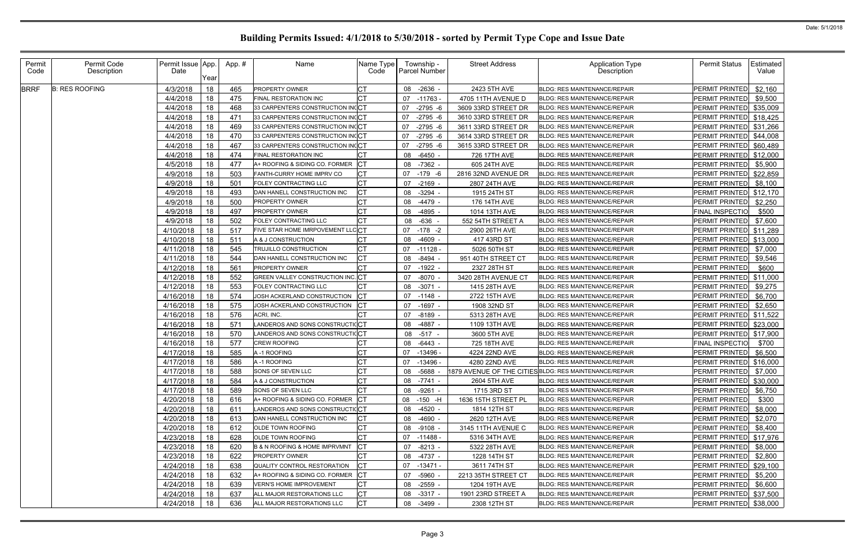| Permit<br>Code | Permit Code<br>Description | Permit Issue App<br>Date | Year | App.# | Name                              | Name Type<br>Code | Township -<br><b>Parcel Number</b> | <b>Street Address</b> | Application Type<br>Description                        | <b>Permit Status</b>    | Estimated<br>Value |
|----------------|----------------------------|--------------------------|------|-------|-----------------------------------|-------------------|------------------------------------|-----------------------|--------------------------------------------------------|-------------------------|--------------------|
| <b>BRRF</b>    | <b>B: RES ROOFING</b>      | 4/3/2018                 | 18   | 465   | PROPERTY OWNER                    | CT                | $-2636 -$<br>08                    | 2423 5TH AVE          | <b>BLDG: RES MAINTENANCE/REPAIR</b>                    | <b>PERMIT PRINTED</b>   | \$2,160            |
|                |                            | 4/4/2018                 | 18   | 475   | FINAL RESTORATION INC             | <b>CT</b>         | 07<br>-11763 -                     | 4705 11TH AVENUE D    | <b>BLDG: RES MAINTENANCE/REPAIR</b>                    | PERMIT PRINTED          | \$9,500            |
|                |                            | 4/4/2018                 | 18   | 468   | 33 CARPENTERS CONSTRUCTION INCCT  |                   | $-2795 - 6$<br>07                  | 3609 33RD STREET DR   | <b>BLDG: RES MAINTENANCE/REPAIR</b>                    | PERMIT PRINTED          | \$35,009           |
|                |                            | 4/4/2018                 | 18   | 471   | 33 CARPENTERS CONSTRUCTION INCCT  |                   | $-2795 - 6$<br>07                  | 3610 33RD STREET DR   | <b>BLDG: RES MAINTENANCE/REPAIR</b>                    | PERMIT PRINTED \$18,425 |                    |
|                |                            | 4/4/2018                 | 18   | 469   | 33 CARPENTERS CONSTRUCTION IN(CT  |                   | 07<br>$-2795 - 6$                  | 3611 33RD STREET DR   | <b>BLDG: RES MAINTENANCE/REPAIR</b>                    | PERMIT PRINTED \$31,266 |                    |
|                |                            | 4/4/2018                 | 18   | 470   | 33 CARPENTERS CONSTRUCTION INCCT  |                   | $-2795 - 6$<br>07                  | 3614 33RD STREET DR   | <b>BLDG: RES MAINTENANCE/REPAIR</b>                    | PERMIT PRINTED \$44,008 |                    |
|                |                            | 4/4/2018                 | 18   | 467   | 33 CARPENTERS CONSTRUCTION INCCT  |                   | 07<br>$-2795 - 6$                  | 3615 33RD STREET DR   | <b>BLDG: RES MAINTENANCE/REPAIR</b>                    | <b>PERMIT PRINTED</b>   | \$60,489           |
|                |                            | 4/4/2018                 | 18   | 474   | FINAL RESTORATION INC             |                   | $-6450 -$<br>08                    | 726 17TH AVE          | <b>BLDG: RES MAINTENANCE/REPAIR</b>                    | PERMIT PRINTED \$12,000 |                    |
|                |                            | 4/5/2018                 | 18   | 477   | A+ ROOFING & SIDING CO. FORMER    | CT                | 08<br>-7362 -                      | 605 24TH AVE          | <b>BLDG: RES MAINTENANCE/REPAIR</b>                    | PERMIT PRINTED          | \$5,900            |
|                |                            | 4/9/2018                 | 18   | 503   | FANTH-CURRY HOME IMPRV CO         | СT                | $-179 - 6$<br>07                   | 2816 32ND AVENUE DR   | <b>BLDG: RES MAINTENANCE/REPAIR</b>                    | PERMIT PRINTED          | \$22,859           |
|                |                            | 4/9/2018                 | 18   | 501   | FOLEY CONTRACTING LLC             | <b>CT</b>         | $-2169 -$<br>07                    | 2807 24TH AVE         | <b>BLDG: RES MAINTENANCE/REPAIR</b>                    | PERMIT PRINTED          | \$8,100            |
|                |                            | 4/9/2018                 | 18   | 493   | DAN HANELL CONSTRUCTION INC       | <b>CT</b>         | $-3294 -$<br>08                    | 1915 24TH ST          | <b>BLDG: RES MAINTENANCE/REPAIR</b>                    | PERMIT PRINTED \$12,170 |                    |
|                |                            | 4/9/2018                 | 18   | 500   | PROPERTY OWNER                    | CT                | $-4479$ -<br>08                    | 176 14TH AVE          | BLDG: RES MAINTENANCE/REPAIR                           | PERMIT PRINTED          | \$2,250            |
|                |                            | 4/9/2018                 | 18   | 497   | PROPERTY OWNER                    | <b>CT</b>         | -4895 -<br>08                      | 1014 13TH AVE         | <b>BLDG: RES MAINTENANCE/REPAIR</b>                    | FINAL INSPECTIO         | \$500              |
|                |                            | 4/9/2018                 | 18   | 502   | FOLEY CONTRACTING LLC             | <b>CT</b>         | $-636$<br>08                       | 552 54TH STREET A     | <b>BLDG: RES MAINTENANCE/REPAIR</b>                    | PERMIT PRINTED          | \$7,600            |
|                |                            | 4/10/2018                | 18   | 517   | FIVE STAR HOME IMRPOVEMENT LLCCT  |                   | 07<br>$-178 - 2$                   | 2900 26TH AVE         | <b>BLDG: RES MAINTENANCE/REPAIR</b>                    | PERMIT PRINTED \$11,289 |                    |
|                |                            | 4/10/2018                | 18   | 511   | A & J CONSTRUCTION                |                   | $-4609 -$<br>08                    | 417 43RD ST           | <b>BLDG: RES MAINTENANCE/REPAIR</b>                    | PERMIT PRINTED \$13,000 |                    |
|                |                            | 4/11/2018                | 18   | 545   | TRUJILLO CONSTRUCTION             | СT                | 07<br>$-11128 -$                   | 5026 50TH ST          | <b>BLDG: RES MAINTENANCE/REPAIR</b>                    | PERMIT PRINTED          | \$7,000            |
|                |                            | 4/11/2018                | 18   | 544   | DAN HANELL CONSTRUCTION INC       | <b>CT</b>         | 08<br>$-8494 -$                    | 951 40TH STREET CT    | <b>BLDG: RES MAINTENANCE/REPAIR</b>                    | PERMIT PRINTED          | \$9,546            |
|                |                            | 4/12/2018                | 18   | 561   | PROPERTY OWNER                    | <b>CT</b>         | $-1922 -$<br>07                    | 2327 28TH ST          | <b>BLDG: RES MAINTENANCE/REPAIR</b>                    | PERMIT PRINTED          | \$600              |
|                |                            | 4/12/2018                | 18   | 552   | GREEN VALLEY CONSTRUCTION INC. CT |                   | $-8070 -$<br>07                    | 3420 28TH AVENUE CT   | <b>BLDG: RES MAINTENANCE/REPAIR</b>                    | PERMIT PRINTED \$11,000 |                    |
|                |                            | 4/12/2018                | 18   | 553   | FOLEY CONTRACTING LLC             | CT                | $-3071 -$<br>08                    | 1415 28TH AVE         | BLDG: RES MAINTENANCE/REPAIR                           | PERMIT PRINTED          | \$9,275            |
|                |                            | 4/16/2018                | 18   | 574   | JOSH ACKERLAND CONSTRUCTION       | CT                | 07<br>$-1148 -$                    | 2722 15TH AVE         | <b>BLDG: RES MAINTENANCE/REPAIR</b>                    | PERMIT PRINTED          | \$6,700            |
|                |                            | 4/16/2018                | 18   | 575   | JOSH ACKERLAND CONSTRUCTION       | <b>CT</b>         | $-1697 -$<br>07                    | 1908 32ND ST          | <b>BLDG: RES MAINTENANCE/REPAIR</b>                    | <b>PERMIT PRINTED</b>   | \$2,650            |
|                |                            | 4/16/2018                | 18   | 576   | ACRI, INC.                        |                   | $-8189 -$<br>07                    | 5313 28TH AVE         | <b>BLDG: RES MAINTENANCE/REPAIR</b>                    | PERMIT PRINTED \$11,522 |                    |
|                |                            | 4/16/2018                | 18   | 571   | LANDEROS AND SONS CONSTRUCTIOCT   |                   | $-4887 -$<br>08                    | 1109 13TH AVE         | <b>BLDG: RES MAINTENANCE/REPAIR</b>                    | PERMIT PRINTED \$23,000 |                    |
|                |                            | 4/16/2018                | 18   | 570   | LANDEROS AND SONS CONSTRUCTI(CT   |                   | $-517 -$<br>08                     | 3600 5TH AVE          | <b>BLDG: RES MAINTENANCE/REPAIR</b>                    | PERMIT PRINTED \$17,900 |                    |
|                |                            | 4/16/2018                | 18   | 577   | CREW ROOFING                      | CT                | 08<br>$-6443 -$                    | 725 18TH AVE          | <b>BLDG: RES MAINTENANCE/REPAIR</b>                    | <b>FINAL INSPECTIO</b>  | \$700              |
|                |                            | 4/17/2018                | 18   | 585   | A-1 ROOFING                       | <b>CT</b>         | 07<br>$-13496 -$                   | 4224 22ND AVE         | <b>BLDG: RES MAINTENANCE/REPAIR</b>                    | PERMIT PRINTED          | \$6,500            |
|                |                            | 4/17/2018                | 18   | 586   | A-1 ROOFING                       | СT                | -13496 -                           | 4280 22ND AVE         | BLDG: RES MAINTENANCE/REPAIR                           | PERMIT PRINTED \$16,000 |                    |
|                |                            | 4/17/2018 18             |      | 588   | SONS OF SEVEN LLC                 | $\Gamma$<br>◡     | 08 -5688                           |                       | 1879 AVENUE OF THE CITIES BLDG: RES MAINTENANCE/REPAIR | PERMIT PRINTED \$7,000  |                    |
|                |                            | 4/17/2018                | 18   | 584   | A & J CONSTRUCTION                | <b>CT</b>         | 08 -7741 -                         | 2604 5TH AVE          | <b>BLDG: RES MAINTENANCE/REPAIR</b>                    | PERMIT PRINTED \$30,000 |                    |
|                |                            | 4/17/2018                | 18   | 589   | SONS OF SEVEN LLC                 | CT                | 08 -9261 -                         | 1715 3RD ST           | <b>BLDG: RES MAINTENANCE/REPAIR</b>                    | PERMIT PRINTED          | \$6,750            |
|                |                            | 4/20/2018                | 18   | 616   | A+ ROOFING & SIDING CO. FORMER CT |                   | 08 -150 -H                         | 1636 15TH STREET PL   | BLDG: RES MAINTENANCE/REPAIR                           | PERMIT PRINTED          | \$300              |
|                |                            | 4/20/2018                | 18   | 611   | LANDEROS AND SONS CONSTRUCTICCT   |                   | 08 -4520 -                         | 1814 12TH ST          | <b>BLDG: RES MAINTENANCE/REPAIR</b>                    | PERMIT PRINTED          | \$8,000            |
|                |                            | 4/20/2018                | 18   | 613   | DAN HANELL CONSTRUCTION INC       | СT                | 08 -4690 -                         | 2620 12TH AVE         | <b>BLDG: RES MAINTENANCE/REPAIR</b>                    | PERMIT PRINTED \$2,070  |                    |
|                |                            | 4/20/2018                | 18   | 612   | OLDE TOWN ROOFING                 | <b>CT</b>         | 08 -9108 -                         | 3145 11TH AVENUE C    | <b>BLDG: RES MAINTENANCE/REPAIR</b>                    | PERMIT PRINTED \$8,400  |                    |
|                |                            | 4/23/2018                | 18   | 628   | OLDE TOWN ROOFING                 | CT                | -11488 -<br>07                     | 5316 34TH AVE         | <b>BLDG: RES MAINTENANCE/REPAIR</b>                    | PERMIT PRINTED \$17,976 |                    |
|                |                            | 4/23/2018                | 18   | 620   | B & N ROOFING & HOME IMPRVMNT     | CT                | 07 -8213 -                         | 5322 28TH AVE         | BLDG: RES MAINTENANCE/REPAIR                           | PERMIT PRINTED          | \$8,000            |
|                |                            | 4/23/2018                | 18   | 622   | PROPERTY OWNER                    | CT                | -4737 -<br>08                      | 1228 14TH ST          | <b>BLDG: RES MAINTENANCE/REPAIR</b>                    | PERMIT PRINTED          | \$2,800            |
|                |                            | 4/24/2018                | 18   | 638   | QUALITY CONTROL RESTORATION       | СT                | -13471 -<br>07                     | 3611 74TH ST          | <b>BLDG: RES MAINTENANCE/REPAIR</b>                    | PERMIT PRINTED \$29,100 |                    |
|                |                            | 4/24/2018                | 18   | 632   | A+ ROOFING & SIDING CO. FORMER    | <b>CT</b>         | -5960 -<br>07                      | 2213 35TH STREET CT   | <b>BLDG: RES MAINTENANCE/REPAIR</b>                    | PERMIT PRINTED          | \$5,200            |
|                |                            | 4/24/2018                | 18   | 639   | VERN'S HOME IMPROVEMENT           | СT                | -2559 -<br>08                      | 1204 19TH AVE         | <b>BLDG: RES MAINTENANCE/REPAIR</b>                    | PERMIT PRINTED          | \$6,600            |
|                |                            | 4/24/2018                | 18   | 637   | ALL MAJOR RESTORATIONS LLC        | СT                | 08 -3317 -                         | 1901 23RD STREET A    | <b>BLDG: RES MAINTENANCE/REPAIR</b>                    | PERMIT PRINTED \$37,500 |                    |
|                |                            | 4/24/2018                | 18   | 636   | ALL MAJOR RESTORATIONS LLC        | <b>CT</b>         | 08 -3499 -                         | 2308 12TH ST          | BLDG: RES MAINTENANCE/REPAIR                           | PERMIT PRINTED \$38,000 |                    |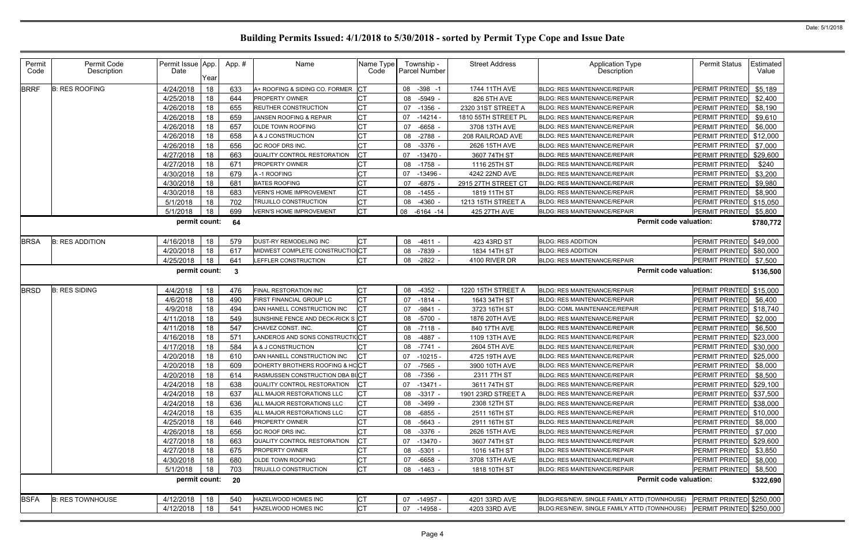| Permit<br>Permit Code<br>Name<br>Name Type<br><b>Street Address</b><br><b>Application Type</b><br><b>Permit Status</b><br>Permit Issue App.<br>App.#<br>Township -<br>Date<br><b>Parcel Number</b><br>Description<br>Code<br>Description<br>Code<br>Year<br><b>B: RES ROOFING</b><br>4/24/2018<br>18<br>633<br><b>ICT</b><br>1744 11TH AVE<br>PERMIT PRINTED<br><b>BRRF</b><br>08<br>$-398 - 1$<br>A+ ROOFING & SIDING CO. FORMER<br><b>BLDG: RES MAINTENANCE/REPAIR</b><br>СT<br>4/25/2018<br>18<br>644<br><b>PROPERTY OWNER</b><br>826 5TH AVE<br><b>PERMIT PRINTED</b><br>08<br>-5949<br><b>BLDG: RES MAINTENANCE/REPAIR</b><br><b>CT</b><br>18<br>655<br>4/26/2018<br><b>REUTHER CONSTRUCTION</b><br>07<br>$-1356$<br>2320 31ST STREET A<br><b>BLDG: RES MAINTENANCE/REPAIR</b><br><b>PERMIT PRINTED</b><br>СT<br>4/26/2018<br>18<br>659<br>JANSEN ROOFING & REPAIR<br>07<br>$-14214$<br>1810 55TH STREET PL<br><b>PERMIT PRINTED</b><br><b>BLDG: RES MAINTENANCE/REPAIR</b><br><b>CT</b><br>4/26/2018<br>18<br>657<br>OLDE TOWN ROOFING<br>3708 13TH AVE<br><b>PERMIT PRINTED</b><br>07<br>-6658<br><b>BLDG: RES MAINTENANCE/REPAIR</b><br>СT<br>4/26/2018<br>18<br>658<br>$-2788$<br>PERMIT PRINTED<br>08<br>208 RAILROAD AVE<br>A & J CONSTRUCTION<br><b>BLDG: RES MAINTENANCE/REPAIR</b><br><b>CT</b><br>18<br>656<br>4/26/2018<br>$-3376$ -<br>PERMIT PRINTED<br>QC ROOF DRS INC.<br>08<br>2626 15TH AVE<br><b>BLDG: RES MAINTENANCE/REPAIR</b><br>Iст<br>4/27/2018<br>18<br>QUALITY CONTROL RESTORATION<br>PERMIT PRINTED<br>663<br>$07 - 13470$<br>3607 74TH ST<br><b>BLDG: RES MAINTENANCE/REPAIR</b><br>4/27/2018<br>18<br>671<br><b>PERMIT PRINTED</b><br>PROPERTY OWNER<br>08 -1758<br>1116 25TH ST<br><b>BLDG: RES MAINTENANCE/REPAIR</b> | Estimated<br>Value<br>\$5,189 |
|-----------------------------------------------------------------------------------------------------------------------------------------------------------------------------------------------------------------------------------------------------------------------------------------------------------------------------------------------------------------------------------------------------------------------------------------------------------------------------------------------------------------------------------------------------------------------------------------------------------------------------------------------------------------------------------------------------------------------------------------------------------------------------------------------------------------------------------------------------------------------------------------------------------------------------------------------------------------------------------------------------------------------------------------------------------------------------------------------------------------------------------------------------------------------------------------------------------------------------------------------------------------------------------------------------------------------------------------------------------------------------------------------------------------------------------------------------------------------------------------------------------------------------------------------------------------------------------------------------------------------------------------------------------------------------------------------------------------------------------------------------------|-------------------------------|
|                                                                                                                                                                                                                                                                                                                                                                                                                                                                                                                                                                                                                                                                                                                                                                                                                                                                                                                                                                                                                                                                                                                                                                                                                                                                                                                                                                                                                                                                                                                                                                                                                                                                                                                                                           |                               |
|                                                                                                                                                                                                                                                                                                                                                                                                                                                                                                                                                                                                                                                                                                                                                                                                                                                                                                                                                                                                                                                                                                                                                                                                                                                                                                                                                                                                                                                                                                                                                                                                                                                                                                                                                           |                               |
|                                                                                                                                                                                                                                                                                                                                                                                                                                                                                                                                                                                                                                                                                                                                                                                                                                                                                                                                                                                                                                                                                                                                                                                                                                                                                                                                                                                                                                                                                                                                                                                                                                                                                                                                                           | \$2,400                       |
|                                                                                                                                                                                                                                                                                                                                                                                                                                                                                                                                                                                                                                                                                                                                                                                                                                                                                                                                                                                                                                                                                                                                                                                                                                                                                                                                                                                                                                                                                                                                                                                                                                                                                                                                                           | \$8,190                       |
|                                                                                                                                                                                                                                                                                                                                                                                                                                                                                                                                                                                                                                                                                                                                                                                                                                                                                                                                                                                                                                                                                                                                                                                                                                                                                                                                                                                                                                                                                                                                                                                                                                                                                                                                                           | \$9,610                       |
|                                                                                                                                                                                                                                                                                                                                                                                                                                                                                                                                                                                                                                                                                                                                                                                                                                                                                                                                                                                                                                                                                                                                                                                                                                                                                                                                                                                                                                                                                                                                                                                                                                                                                                                                                           | \$6,000                       |
|                                                                                                                                                                                                                                                                                                                                                                                                                                                                                                                                                                                                                                                                                                                                                                                                                                                                                                                                                                                                                                                                                                                                                                                                                                                                                                                                                                                                                                                                                                                                                                                                                                                                                                                                                           | \$12,000                      |
|                                                                                                                                                                                                                                                                                                                                                                                                                                                                                                                                                                                                                                                                                                                                                                                                                                                                                                                                                                                                                                                                                                                                                                                                                                                                                                                                                                                                                                                                                                                                                                                                                                                                                                                                                           | \$7,000                       |
|                                                                                                                                                                                                                                                                                                                                                                                                                                                                                                                                                                                                                                                                                                                                                                                                                                                                                                                                                                                                                                                                                                                                                                                                                                                                                                                                                                                                                                                                                                                                                                                                                                                                                                                                                           | \$29,600                      |
|                                                                                                                                                                                                                                                                                                                                                                                                                                                                                                                                                                                                                                                                                                                                                                                                                                                                                                                                                                                                                                                                                                                                                                                                                                                                                                                                                                                                                                                                                                                                                                                                                                                                                                                                                           | \$240                         |
| СT<br>4/30/2018<br>18<br>679<br>07<br>4242 22ND AVE<br>PERMIT PRINTED<br>A-1 ROOFING<br>-13496<br><b>BLDG: RES MAINTENANCE/REPAIR</b>                                                                                                                                                                                                                                                                                                                                                                                                                                                                                                                                                                                                                                                                                                                                                                                                                                                                                                                                                                                                                                                                                                                                                                                                                                                                                                                                                                                                                                                                                                                                                                                                                     | \$3,200                       |
| СT<br>18<br>681<br>4/30/2018<br><b>BATES ROOFING</b><br><b>PERMIT PRINTED</b><br>07<br>$-6875$<br>2915 27TH STREET CT<br>BLDG: RES MAINTENANCE/REPAIR                                                                                                                                                                                                                                                                                                                                                                                                                                                                                                                                                                                                                                                                                                                                                                                                                                                                                                                                                                                                                                                                                                                                                                                                                                                                                                                                                                                                                                                                                                                                                                                                     | \$9,980                       |
| <b>CT</b><br>18<br>683<br>08 -1455<br><b>PERMIT PRINTED</b><br>4/30/2018<br><b>VERN'S HOME IMPROVEMENT</b><br>1819 11TH ST<br><b>BLDG: RES MAINTENANCE/REPAIR</b>                                                                                                                                                                                                                                                                                                                                                                                                                                                                                                                                                                                                                                                                                                                                                                                                                                                                                                                                                                                                                                                                                                                                                                                                                                                                                                                                                                                                                                                                                                                                                                                         | \$8,900                       |
| СT<br>5/1/2018<br>18<br>702<br>TRUJILLO CONSTRUCTION<br>-4360<br>1213 15TH STREET A<br><b>BLDG: RES MAINTENANCE/REPAIR</b><br><b>PERMIT PRINTED</b><br>08                                                                                                                                                                                                                                                                                                                                                                                                                                                                                                                                                                                                                                                                                                                                                                                                                                                                                                                                                                                                                                                                                                                                                                                                                                                                                                                                                                                                                                                                                                                                                                                                 | \$15,050                      |
| <b>CT</b><br>5/1/2018<br>699<br><b>PERMIT PRINTED</b><br>18<br>08<br>425 27TH AVE<br><b>VERN'S HOME IMPROVEMENT</b><br>$-6164 - 14$<br><b>BLDG: RES MAINTENANCE/REPAIR</b>                                                                                                                                                                                                                                                                                                                                                                                                                                                                                                                                                                                                                                                                                                                                                                                                                                                                                                                                                                                                                                                                                                                                                                                                                                                                                                                                                                                                                                                                                                                                                                                | \$5,800                       |
| permit count:<br><b>Permit code valuation:</b><br>64                                                                                                                                                                                                                                                                                                                                                                                                                                                                                                                                                                                                                                                                                                                                                                                                                                                                                                                                                                                                                                                                                                                                                                                                                                                                                                                                                                                                                                                                                                                                                                                                                                                                                                      | \$780,772                     |
| Iст<br><b>BRSA</b><br>4/16/2018<br>18<br>DUST-RY REMODELING INC<br>423 43RD ST<br><b>BLDG: RES ADDITION</b><br><b>B: RES ADDITION</b><br>579<br>08 -4611<br><b>PERMIT PRINTED</b>                                                                                                                                                                                                                                                                                                                                                                                                                                                                                                                                                                                                                                                                                                                                                                                                                                                                                                                                                                                                                                                                                                                                                                                                                                                                                                                                                                                                                                                                                                                                                                         | \$49,000                      |
| MIDWEST COMPLETE CONSTRUCTIOICT<br>4/20/2018<br>18<br>617<br>-7839<br>1834 14TH ST<br>PERMIT PRINTED<br>08<br><b>BLDG: RES ADDITION</b>                                                                                                                                                                                                                                                                                                                                                                                                                                                                                                                                                                                                                                                                                                                                                                                                                                                                                                                                                                                                                                                                                                                                                                                                                                                                                                                                                                                                                                                                                                                                                                                                                   | \$80,000                      |
| Iст<br>18<br>4/25/2018<br>641<br>LEFFLER CONSTRUCTION<br><b>BLDG: RES MAINTENANCE/REPAIR</b><br><b>PERMIT PRINTED</b><br>08 -2822 -<br>4100 RIVER DR                                                                                                                                                                                                                                                                                                                                                                                                                                                                                                                                                                                                                                                                                                                                                                                                                                                                                                                                                                                                                                                                                                                                                                                                                                                                                                                                                                                                                                                                                                                                                                                                      | \$7,500                       |
| permit count:<br><b>Permit code valuation:</b><br>3                                                                                                                                                                                                                                                                                                                                                                                                                                                                                                                                                                                                                                                                                                                                                                                                                                                                                                                                                                                                                                                                                                                                                                                                                                                                                                                                                                                                                                                                                                                                                                                                                                                                                                       | \$136,500                     |
| 18<br>СT<br><b>BRSD</b><br><b>B: RES SIDING</b><br>4/4/2018<br>FINAL RESTORATION INC<br>08 -4352<br>1220 15TH STREET A<br><b>BLDG: RES MAINTENANCE/REPAIR</b><br><b>PERMIT PRINTED</b><br>476                                                                                                                                                                                                                                                                                                                                                                                                                                                                                                                                                                                                                                                                                                                                                                                                                                                                                                                                                                                                                                                                                                                                                                                                                                                                                                                                                                                                                                                                                                                                                             | \$15,000                      |
| <b>CT</b><br>4/6/2018<br>18<br>490<br><b>PERMIT PRINTED</b><br>FIRST FINANCIAL GROUP LC<br>$-1814$<br>1643 34TH ST<br>07<br><b>BLDG: RES MAINTENANCE/REPAIR</b>                                                                                                                                                                                                                                                                                                                                                                                                                                                                                                                                                                                                                                                                                                                                                                                                                                                                                                                                                                                                                                                                                                                                                                                                                                                                                                                                                                                                                                                                                                                                                                                           | \$6,400                       |
| Iст<br>18<br>494<br>3723 16TH ST<br>4/9/2018<br>DAN HANELL CONSTRUCTION INC<br>07<br>-9841<br><b>PERMIT PRINTED</b><br>BLDG: COML MAINTENANCE/REPAIR                                                                                                                                                                                                                                                                                                                                                                                                                                                                                                                                                                                                                                                                                                                                                                                                                                                                                                                                                                                                                                                                                                                                                                                                                                                                                                                                                                                                                                                                                                                                                                                                      | \$18,740                      |
| SUNSHINE FENCE AND DECK-RICK S CT<br>18<br>4/11/2018<br>549<br>$-5700$<br>PERMIT PRINTED<br>08<br>1876 20TH AVE<br><b>BLDG: RES MAINTENANCE/REPAIR</b>                                                                                                                                                                                                                                                                                                                                                                                                                                                                                                                                                                                                                                                                                                                                                                                                                                                                                                                                                                                                                                                                                                                                                                                                                                                                                                                                                                                                                                                                                                                                                                                                    | \$2,000                       |
| 18<br>4/11/2018<br>840 17TH AVE<br><b>PERMIT PRINTED</b><br>547<br>CHAVEZ CONST. INC.<br>08 -7118 -<br><b>BLDG: RES MAINTENANCE/REPAIR</b>                                                                                                                                                                                                                                                                                                                                                                                                                                                                                                                                                                                                                                                                                                                                                                                                                                                                                                                                                                                                                                                                                                                                                                                                                                                                                                                                                                                                                                                                                                                                                                                                                | \$6,500                       |
| LANDEROS AND SONS CONSTRUCTICCT<br>4/16/2018<br>18<br><b>PERMIT PRINTED</b><br>571<br>08<br>-4887<br>1109 13TH AVE<br><b>BLDG: RES MAINTENANCE/REPAIR</b>                                                                                                                                                                                                                                                                                                                                                                                                                                                                                                                                                                                                                                                                                                                                                                                                                                                                                                                                                                                                                                                                                                                                                                                                                                                                                                                                                                                                                                                                                                                                                                                                 | \$23,000                      |
| 4/17/2018<br>18<br>584<br>СT<br>2604 5TH AVE<br><b>PERMIT PRINTED</b><br>A & J CONSTRUCTION<br>08<br>-7741<br><b>BLDG: RES MAINTENANCE/REPAIR</b>                                                                                                                                                                                                                                                                                                                                                                                                                                                                                                                                                                                                                                                                                                                                                                                                                                                                                                                                                                                                                                                                                                                                                                                                                                                                                                                                                                                                                                                                                                                                                                                                         | \$30,000                      |
| 18<br>DAN HANELL CONSTRUCTION INC<br>4/20/2018<br>610<br>07<br>$-10215$<br>4725 19TH AVE<br><b>BLDG: RES MAINTENANCE/REPAIR</b><br>PERMIT PRINTED                                                                                                                                                                                                                                                                                                                                                                                                                                                                                                                                                                                                                                                                                                                                                                                                                                                                                                                                                                                                                                                                                                                                                                                                                                                                                                                                                                                                                                                                                                                                                                                                         | \$25,000                      |
| 18<br>609<br>DOHERTY BROTHERS ROOFING & HCCT<br><b>PERMIT PRINTED</b><br>4/20/2018<br>07 -7565<br>3900 10TH AVE<br><b>BLDG: RES MAINTENANCE/REPAIR</b>                                                                                                                                                                                                                                                                                                                                                                                                                                                                                                                                                                                                                                                                                                                                                                                                                                                                                                                                                                                                                                                                                                                                                                                                                                                                                                                                                                                                                                                                                                                                                                                                    | \$8,000                       |
| 4/20/2018<br>18<br>614<br>RASMUSSEN CONSTRUCTION DBA BUCT<br>08 -7356 -<br>2311 7TH ST<br><b>BLDG: RES MAINTENANCE/REPAIR</b><br>PERMIT PRINTED \$8,500                                                                                                                                                                                                                                                                                                                                                                                                                                                                                                                                                                                                                                                                                                                                                                                                                                                                                                                                                                                                                                                                                                                                                                                                                                                                                                                                                                                                                                                                                                                                                                                                   |                               |
| PERMIT PRINTED<br>4/24/2018<br><b>ICT</b><br>18<br>638<br>QUALITY CONTROL RESTORATION<br>07<br>-13471 -<br>3611 74TH ST<br><b>BLDG: RES MAINTENANCE/REPAIR</b>                                                                                                                                                                                                                                                                                                                                                                                                                                                                                                                                                                                                                                                                                                                                                                                                                                                                                                                                                                                                                                                                                                                                                                                                                                                                                                                                                                                                                                                                                                                                                                                            | \$29,100                      |
| <b>ICT</b><br>18<br>637<br>ALL MAJOR RESTORATIONS LLC<br>BLDG: RES MAINTENANCE/REPAIR<br>PERMIT PRINTED \$37,500<br>4/24/2018<br>08 -3317 -<br>1901 23RD STREET A                                                                                                                                                                                                                                                                                                                                                                                                                                                                                                                                                                                                                                                                                                                                                                                                                                                                                                                                                                                                                                                                                                                                                                                                                                                                                                                                                                                                                                                                                                                                                                                         |                               |
| Iст<br>4/24/2018<br>18<br>636<br>08 -3499 -<br>2308 12TH ST<br>PERMIT PRINTED \$38,000<br>ALL MAJOR RESTORATIONS LLC<br><b>BLDG: RES MAINTENANCE/REPAIR</b>                                                                                                                                                                                                                                                                                                                                                                                                                                                                                                                                                                                                                                                                                                                                                                                                                                                                                                                                                                                                                                                                                                                                                                                                                                                                                                                                                                                                                                                                                                                                                                                               |                               |
| <b>CT</b><br>4/24/2018<br>18<br>PERMIT PRINTED \$10,000<br>635<br>ALL MAJOR RESTORATIONS LLC<br>$-6855$ .<br>2511 16TH ST<br><b>BLDG: RES MAINTENANCE/REPAIR</b><br>08                                                                                                                                                                                                                                                                                                                                                                                                                                                                                                                                                                                                                                                                                                                                                                                                                                                                                                                                                                                                                                                                                                                                                                                                                                                                                                                                                                                                                                                                                                                                                                                    |                               |
| 4/25/2018<br>18<br>646<br>PERMIT PRINTED<br><b>PROPERTY OWNER</b><br>08 -5643 -<br>2911 16TH ST<br><b>BLDG: RES MAINTENANCE/REPAIR</b>                                                                                                                                                                                                                                                                                                                                                                                                                                                                                                                                                                                                                                                                                                                                                                                                                                                                                                                                                                                                                                                                                                                                                                                                                                                                                                                                                                                                                                                                                                                                                                                                                    | \$8,000                       |
| <b>CT</b><br>4/26/2018<br>PERMIT PRINTED<br>18<br>656<br>08 -3376 -<br>2626 15TH AVE<br>QC ROOF DRS INC.<br>BLDG: RES MAINTENANCE/REPAIR                                                                                                                                                                                                                                                                                                                                                                                                                                                                                                                                                                                                                                                                                                                                                                                                                                                                                                                                                                                                                                                                                                                                                                                                                                                                                                                                                                                                                                                                                                                                                                                                                  | \$7,000                       |
| Iст<br>4/27/2018<br>18<br>663<br>QUALITY CONTROL RESTORATION<br>PERMIT PRINTED<br>07 -13470 -<br>3607 74TH ST<br>BLDG: RES MAINTENANCE/REPAIR                                                                                                                                                                                                                                                                                                                                                                                                                                                                                                                                                                                                                                                                                                                                                                                                                                                                                                                                                                                                                                                                                                                                                                                                                                                                                                                                                                                                                                                                                                                                                                                                             | \$29,600                      |
| СT<br>PERMIT PRINTED<br>4/27/2018<br>18<br>675<br>1016 14TH ST<br>PROPERTY OWNER<br>08<br>-5301 -<br>BLDG: RES MAINTENANCE/REPAIR                                                                                                                                                                                                                                                                                                                                                                                                                                                                                                                                                                                                                                                                                                                                                                                                                                                                                                                                                                                                                                                                                                                                                                                                                                                                                                                                                                                                                                                                                                                                                                                                                         | \$3,850                       |
| СT<br>4/30/2018<br>18<br>680<br>OLDE TOWN ROOFING<br><b>BLDG: RES MAINTENANCE/REPAIR</b><br>07 -6658 -<br>3708 13TH AVE<br>PERMIT PRINTED                                                                                                                                                                                                                                                                                                                                                                                                                                                                                                                                                                                                                                                                                                                                                                                                                                                                                                                                                                                                                                                                                                                                                                                                                                                                                                                                                                                                                                                                                                                                                                                                                 | \$8,000                       |
| <b>CT</b><br>PERMIT PRINTED<br>5/1/2018<br>18<br>703<br>TRUJILLO CONSTRUCTION<br>08 -1463 -<br>1818 10TH ST<br>BLDG: RES MAINTENANCE/REPAIR                                                                                                                                                                                                                                                                                                                                                                                                                                                                                                                                                                                                                                                                                                                                                                                                                                                                                                                                                                                                                                                                                                                                                                                                                                                                                                                                                                                                                                                                                                                                                                                                               | \$8,500                       |
| permit count:<br><b>Permit code valuation:</b><br>20                                                                                                                                                                                                                                                                                                                                                                                                                                                                                                                                                                                                                                                                                                                                                                                                                                                                                                                                                                                                                                                                                                                                                                                                                                                                                                                                                                                                                                                                                                                                                                                                                                                                                                      | \$322,690                     |
| <b>BSFA</b><br>PERMIT PRINTED \$250,000<br>4/12/2018<br>18<br>IСТ<br><b>B: RES TOWNHOUSE</b><br>540<br>HAZELWOOD HOMES INC<br>07 -14957 -<br>4201 33RD AVE<br>BLDG:RES/NEW, SINGLE FAMILY ATTD (TOWNHOUSE)                                                                                                                                                                                                                                                                                                                                                                                                                                                                                                                                                                                                                                                                                                                                                                                                                                                                                                                                                                                                                                                                                                                                                                                                                                                                                                                                                                                                                                                                                                                                                |                               |
| <b>CT</b><br>4/12/2018<br>18<br>541<br>PERMIT PRINTED \$250,000<br>HAZELWOOD HOMES INC<br>07 -14958 -<br>4203 33RD AVE<br>BLDG:RES/NEW, SINGLE FAMILY ATTD (TOWNHOUSE)                                                                                                                                                                                                                                                                                                                                                                                                                                                                                                                                                                                                                                                                                                                                                                                                                                                                                                                                                                                                                                                                                                                                                                                                                                                                                                                                                                                                                                                                                                                                                                                    |                               |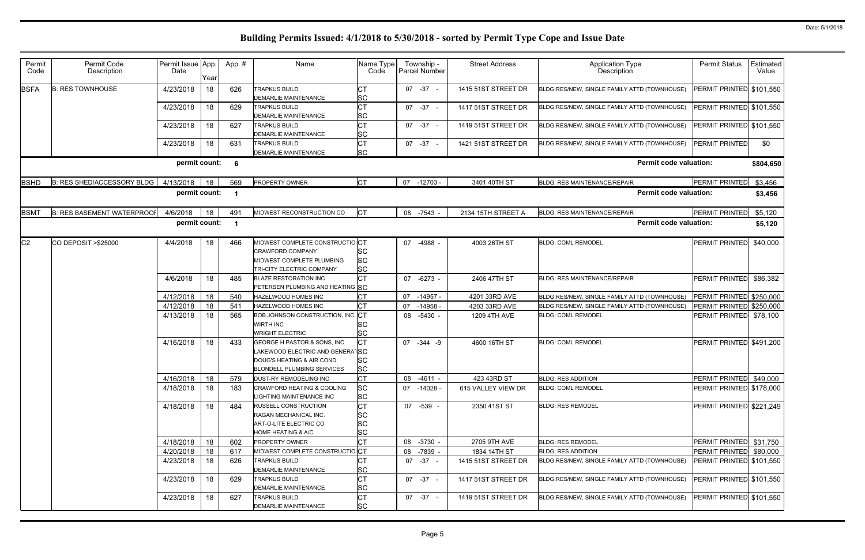| Permit<br>Code | Permit Code<br>Description        | Permit Issue App.<br>Date | Year | App.#                | Name                                                                                                                      | Name Type<br>Code                          | Township -<br>Parcel Number |           | <b>Street Address</b> | Application Type<br>Description              | <b>Permit Status</b>     | Estimated<br>Value |
|----------------|-----------------------------------|---------------------------|------|----------------------|---------------------------------------------------------------------------------------------------------------------------|--------------------------------------------|-----------------------------|-----------|-----------------------|----------------------------------------------|--------------------------|--------------------|
| <b>BSFA</b>    | <b>B: RES TOWNHOUSE</b>           | 4/23/2018                 | 18   | 626                  | <b>TRAPKUS BUILD</b><br>DEMARLIE MAINTENANCE                                                                              | IСТ<br><b>SC</b>                           | $07 -37 -$                  |           | 1415 51ST STREET DR   | BLDG:RES/NEW, SINGLE FAMILY ATTD (TOWNHOUSE) | PERMIT PRINTED \$101,550 |                    |
|                |                                   | 4/23/2018                 | 18   | 629                  | <b>TRAPKUS BUILD</b><br>DEMARLIE MAINTENANCE                                                                              | <b>CT</b><br><b>SC</b>                     | $07 -37 -$                  |           | 1417 51ST STREET DR   | BLDG:RES/NEW, SINGLE FAMILY ATTD (TOWNHOUSE) | PERMIT PRINTED \$101,550 |                    |
|                |                                   | 4/23/2018                 | 18   | 627                  | <b>TRAPKUS BUILD</b><br><b>DEMARLIE MAINTENANCE</b>                                                                       | <b>CT</b><br><b>SC</b>                     | $07 -37 -$                  |           | 1419 51ST STREET DR   | BLDG:RES/NEW, SINGLE FAMILY ATTD (TOWNHOUSE) | PERMIT PRINTED \$101,550 |                    |
|                |                                   | 4/23/2018                 | 18   | 631                  | <b>TRAPKUS BUILD</b><br>DEMARLIE MAINTENANCE                                                                              | Iст<br><b>SC</b>                           | $07 -37 -$                  |           | 1421 51ST STREET DR   | BLDG:RES/NEW, SINGLE FAMILY ATTD (TOWNHOUSE) | <b>PERMIT PRINTED</b>    | \$0                |
|                |                                   | permit count:             |      | 6                    |                                                                                                                           |                                            |                             |           |                       | <b>Permit code valuation:</b>                |                          | \$804,650          |
| <b>BSHD</b>    | B: RES SHED/ACCESSORY BLDG        | 4/13/2018                 | 18   | 569                  | PROPERTY OWNER                                                                                                            | <b>CT</b>                                  | 07 -12703 -                 |           | 3401 40TH ST          | BLDG: RES MAINTENANCE/REPAIR                 | <b>PERMIT PRINTED</b>    | \$3,456            |
|                |                                   | permit count:             |      | $\blacktriangleleft$ |                                                                                                                           |                                            |                             |           |                       | <b>Permit code valuation:</b>                |                          | \$3,456            |
| <b>BSMT</b>    | <b>B: RES BASEMENT WATERPROOF</b> | 4/6/2018                  | 18   | 491                  | MIDWEST RECONSTRUCTION CO                                                                                                 | $ _{CT}$                                   | 08 -7543 -                  |           | 2134 15TH STREET A    | BLDG: RES MAINTENANCE/REPAIR                 | <b>PERMIT PRINTED</b>    | \$5,120            |
|                |                                   | permit count:             |      | $\blacktriangleleft$ |                                                                                                                           |                                            |                             |           |                       | <b>Permit code valuation:</b>                |                          | \$5,120            |
| C <sub>2</sub> | CO DEPOSIT > \$25000              | 4/4/2018                  | 18   | 466                  | MIDWEST COMPLETE CONSTRUCTIOICT<br>CRAWFORD COMPANY<br>MIDWEST COMPLETE PLUMBING<br>TRI-CITY ELECTRIC COMPANY             | <b>SC</b><br><b>SC</b><br><b>SC</b>        | 07 -4988                    |           | 4003 26TH ST          | <b>BLDG: COML REMODEL</b>                    | PERMIT PRINTED           | \$40,000           |
|                |                                   | 4/6/2018                  | 18   | 485                  | <b>BLAZE RESTORATION INC</b><br>PETERSEN PLUMBING AND HEATING SC                                                          | lст                                        | 07 -6273 -                  |           | 2406 47TH ST          | <b>BLDG: RES MAINTENANCE/REPAIR</b>          | <b>PERMIT PRINTED</b>    | \$86,382           |
|                |                                   | 4/12/2018                 | 18   | 540                  | HAZELWOOD HOMES INC                                                                                                       | СT                                         | 07                          | $-14957$  | 4201 33RD AVE         | BLDG:RES/NEW, SINGLE FAMILY ATTD (TOWNHOUSE) | PERMIT PRINTED \$250,000 |                    |
|                |                                   | 4/12/2018                 | 18   | 541                  | HAZELWOOD HOMES INC                                                                                                       | lст                                        | 07                          | $-14958$  | 4203 33RD AVE         | BLDG:RES/NEW, SINGLE FAMILY ATTD (TOWNHOUSE) | PERMIT PRINTED           | \$250,000          |
|                |                                   | 4/13/2018                 | 18   | 565                  | <b>BOB JOHNSON CONSTRUCTION, INC CT</b><br><b>WIRTH INC</b><br><b>WRIGHT ELECTRIC</b>                                     | <b>SC</b><br><b>SC</b>                     | 08 -5430 -                  |           | 1209 4TH AVE          | <b>BLDG: COML REMODEL</b>                    | PERMIT PRINTED           | \$78,100           |
|                |                                   | 4/16/2018                 | 18   | 433                  | GEORGE H PASTOR & SONS, INC<br>LAKEWOOD ELECTRIC AND GENERATSC<br>DOUG'S HEATING & AIR COND<br>BLONDELL PLUMBING SERVICES | Iст<br><b>SC</b><br><b>SC</b>              | 07 - 344 - 9                |           | 4600 16TH ST          | <b>BLDG: COML REMODEL</b>                    | PERMIT PRINTED \$491,200 |                    |
|                |                                   | 4/16/2018                 | 18   | 579                  | DUST-RY REMODELING INC                                                                                                    | <b>CT</b>                                  | 08                          | $-4611 -$ | 423 43RD ST           | <b>BLDG: RES ADDITION</b>                    | PERMIT PRINTED \$49,000  |                    |
|                |                                   | 4/18/2018                 | 18   | 183                  | CRAWFORD HEATING & COOLING<br>LIGHTING MAINTENANCE INC                                                                    | <b>SC</b><br><b>SC</b>                     | $07 - 14028$                |           | 615 VALLEY VIEW DR    | <b>BLDG: COML REMODEL</b>                    | PERMIT PRINTED \$178,000 |                    |
|                |                                   | 4/18/2018                 | 18   | 484                  | RUSSELL CONSTRUCTION<br>RAGAN MECHANICAL INC.<br>ART-O-LITE ELECTRIC CO<br>HOME HEATING & A/C                             | lст<br><b>SC</b><br><b>SC</b><br><b>SC</b> | 07 -539 -                   |           | 2350 41ST ST          | <b>BLDG: RES REMODEL</b>                     | PERMIT PRINTED \$221,249 |                    |
|                |                                   | 4/18/2018                 | 18   | 602                  | PROPERTY OWNER                                                                                                            | <b>CT</b>                                  | 08 -3730 -                  |           | 2705 9TH AVE          | <b>BLDG: RES REMODEL</b>                     | PERMIT PRINTED \$31,750  |                    |
|                |                                   | 4/20/2018                 | 18   | 617                  | MIDWEST COMPLETE CONSTRUCTIOICT                                                                                           |                                            | 08 -7839 -                  |           | 1834 14TH ST          | <b>BLDG: RES ADDITION</b>                    | PERMIT PRINTED           | \$80,000           |
|                |                                   | 4/23/2018                 | 18   | 626                  | <b>TRAPKUS BUILD</b><br><b>DEMARLIE MAINTENANCE</b>                                                                       | Iст<br><b>SC</b>                           | 07 - 37 -                   |           | 1415 51ST STREET DR   | BLDG:RES/NEW, SINGLE FAMILY ATTD (TOWNHOUSE) | PERMIT PRINTED \$101,550 |                    |
|                |                                   | 4/23/2018                 | 18   | 629                  | <b>TRAPKUS BUILD</b><br>DEMARLIE MAINTENANCE                                                                              | <b>CT</b><br><b>SC</b>                     | $07 -37 -$                  |           | 1417 51ST STREET DR   | BLDG:RES/NEW, SINGLE FAMILY ATTD (TOWNHOUSE) | PERMIT PRINTED \$101,550 |                    |
|                |                                   | 4/23/2018                 | 18   | 627                  | <b>TRAPKUS BUILD</b><br>DEMARLIE MAINTENANCE                                                                              | Iст<br><b>SC</b>                           | 07 - 37 -                   |           | 1419 51ST STREET DR   | BLDG:RES/NEW, SINGLE FAMILY ATTD (TOWNHOUSE) | PERMIT PRINTED \$101,550 |                    |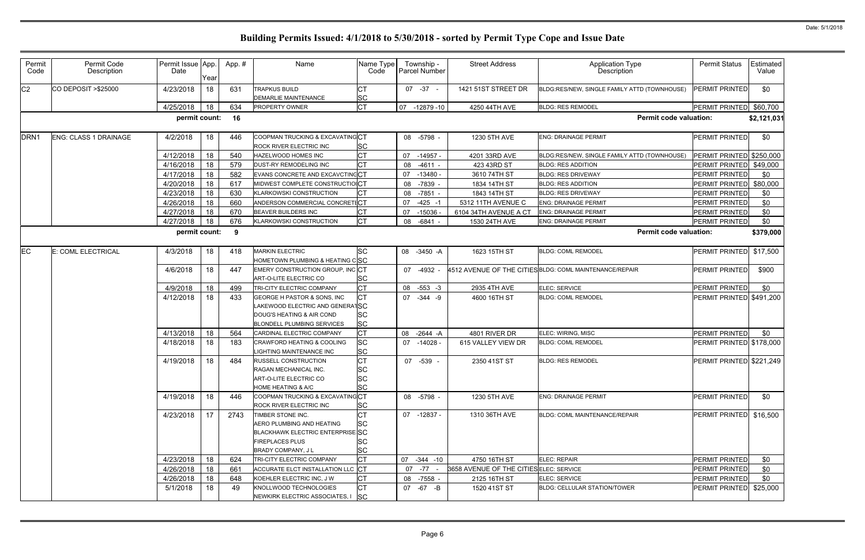| Permit<br>Code   | Permit Code<br>Description   | Permit Issue App.<br>Date | Year | App.# | Name                                                                                                                                     | Name Type<br>Code                                |    | Township -<br>Parcel Number | <b>Street Address</b>                   | Application Type<br>Description                         | <b>Permit Status</b>     | Estimated<br>Value |
|------------------|------------------------------|---------------------------|------|-------|------------------------------------------------------------------------------------------------------------------------------------------|--------------------------------------------------|----|-----------------------------|-----------------------------------------|---------------------------------------------------------|--------------------------|--------------------|
| C <sub>2</sub>   | CO DEPOSIT > \$25000         | 4/23/2018                 | 18   | 631   | <b>TRAPKUS BUILD</b><br><b>DEMARLIE MAINTENANCE</b>                                                                                      | <b>SC</b>                                        |    | $07 -37 -$                  | 1421 51ST STREET DR                     | BLDG:RES/NEW, SINGLE FAMILY ATTD (TOWNHOUSE)            | <b>PERMIT PRINTED</b>    | \$0                |
|                  |                              | 4/25/2018                 | 18   | 634   | PROPERTY OWNER                                                                                                                           | <b>CT</b>                                        | 07 | -12879 -10                  | 4250 44TH AVE                           | <b>BLDG: RES REMODEL</b>                                | PERMIT PRINTED \$60,700  |                    |
|                  |                              | permit count:             |      | 16    |                                                                                                                                          |                                                  |    |                             |                                         | <b>Permit code valuation:</b>                           |                          | \$2,121,031        |
| DRN <sub>1</sub> | <b>ENG: CLASS 1 DRAINAGE</b> | 4/2/2018                  | 18   | 446   | COOPMAN TRUCKING & EXCAVATINGCT<br>ROCK RIVER ELECTRIC INC                                                                               | <b>SC</b>                                        |    | 08 -5798 -                  | 1230 5TH AVE                            | <b>ENG: DRAINAGE PERMIT</b>                             | PERMIT PRINTED           | \$0                |
|                  |                              | 4/12/2018                 | 18   | 540   | HAZELWOOD HOMES INC                                                                                                                      | <b>CT</b>                                        |    | 07 -14957 -                 | 4201 33RD AVE                           | BLDG:RES/NEW, SINGLE FAMILY ATTD (TOWNHOUSE)            | PERMIT PRINTED \$250,000 |                    |
|                  |                              | 4/16/2018                 | 18   | 579   | DUST-RY REMODELING INC                                                                                                                   | <b>CT</b>                                        | 08 | $-4611$                     | 423 43RD ST                             | <b>BLDG: RES ADDITION</b>                               | PERMIT PRINTED           | \$49,000           |
|                  |                              | 4/17/2018                 | 18   | 582   | EVANS CONCRETE AND EXCAVCTING CT                                                                                                         |                                                  | 07 | $-13480$                    | 3610 74TH ST                            | <b>BLDG: RES DRIVEWAY</b>                               | PERMIT PRINTED           | \$0                |
|                  |                              | 4/20/2018                 | 18   | 617   | MIDWEST COMPLETE CONSTRUCTIOICT                                                                                                          |                                                  | 08 | -7839                       | 1834 14TH ST                            | <b>BLDG: RES ADDITION</b>                               | PERMIT PRINTED           | \$80,000           |
|                  |                              | 4/23/2018                 | 18   | 630   | <b>KLARKOWSKI CONSTRUCTION</b>                                                                                                           | IСТ                                              |    | 08 -7851                    | 1843 14TH ST                            | <b>BLDG: RES DRIVEWAY</b>                               | PERMIT PRINTED           | \$0                |
|                  |                              | 4/26/2018                 | 18   | 660   | ANDERSON COMMERCIAL CONCRETICT                                                                                                           |                                                  | 07 | $-425 - 1$                  | 5312 11TH AVENUE C                      | <b>ENG: DRAINAGE PERMIT</b>                             | PERMIT PRINTED           | \$0                |
|                  |                              | 4/27/2018                 | 18   | 670   | BEAVER BUILDERS INC                                                                                                                      | <b>CT</b>                                        | 07 | $-15036$                    | 6104 34TH AVENUE A CT                   | <b>ENG: DRAINAGE PERMIT</b>                             | <b>PERMIT PRINTED</b>    | \$0                |
|                  |                              | 4/27/2018                 | 18   | 676   | <b>KLARKOWSKI CONSTRUCTION</b>                                                                                                           | <b>CT</b>                                        | 08 | $-6841$                     | 1530 24TH AVE                           | <b>ENG: DRAINAGE PERMIT</b>                             | PERMIT PRINTED           | \$0                |
|                  |                              | permit count:             |      | 9     |                                                                                                                                          |                                                  |    |                             |                                         | <b>Permit code valuation:</b>                           |                          | \$379,000          |
| EC               | E: COML ELECTRICAL           | 4/3/2018                  | 18   | 418   | <b>MARKIN ELECTRIC</b><br>HOMETOWN PLUMBING & HEATING CSC                                                                                | <b>SC</b>                                        |    | 08 -3450 -A                 | 1623 15TH ST                            | <b>BLDG: COML REMODEL</b>                               | PERMIT PRINTED           | \$17,500           |
|                  |                              | 4/6/2018                  | 18   | 447   | EMERY CONSTRUCTION GROUP, INC CT<br>ART-O-LITE ELECTRIC CO                                                                               | <b>SC</b>                                        |    | 07 -4932                    |                                         | 4512 AVENUE OF THE CITIES BLDG: COML MAINTENANCE/REPAIR | PERMIT PRINTED           | \$900              |
|                  |                              | 4/9/2018                  | 18   | 499   | TRI-CITY ELECTRIC COMPANY                                                                                                                | <b>CT</b>                                        | 08 | $-553 - 3$                  | 2935 4TH AVE                            | ELEC: SERVICE                                           | PERMIT PRINTED           | \$0                |
|                  |                              | 4/12/2018                 | 18   | 433   | GEORGE H PASTOR & SONS, INC<br>LAKEWOOD ELECTRIC AND GENERATSC<br>DOUG'S HEATING & AIR COND<br><b>BLONDELL PLUMBING SERVICES</b>         | <b>CT</b><br><b>SC</b><br><b>SC</b>              |    | 07 - 344 - 9                | 4600 16TH ST                            | <b>BLDG: COML REMODEL</b>                               | PERMIT PRINTED \$491,200 |                    |
|                  |                              | 4/13/2018                 | 18   | 564   | CARDINAL ELECTRIC COMPANY                                                                                                                | <b>CT</b>                                        | 08 | -2644 -A                    | 4801 RIVER DR                           | ELEC: WIRING, MISC                                      | PERMIT PRINTED           | \$0                |
|                  |                              | 4/18/2018                 | 18   | 183   | <b>CRAWFORD HEATING &amp; COOLING</b><br>LIGHTING MAINTENANCE INC                                                                        | <b>SC</b><br><b>SC</b>                           |    | $07 - 14028$                | 615 VALLEY VIEW DR                      | <b>BLDG: COML REMODEL</b>                               | PERMIT PRINTED \$178,000 |                    |
|                  |                              | 4/19/2018                 | 18   | 484   | <b>RUSSELL CONSTRUCTION</b><br>RAGAN MECHANICAL INC.<br>ART-O-LITE ELECTRIC CO<br><b>HOME HEATING &amp; A/C</b>                          | <b>CT</b><br><b>SC</b><br><b>SC</b><br><b>SC</b> |    | 07 -539 -                   | 2350 41ST ST                            | <b>BLDG: RES REMODEL</b>                                | PERMIT PRINTED \$221,249 |                    |
|                  |                              | 4/19/2018                 | 18   | 446   | COOPMAN TRUCKING & EXCAVATING CT<br><b>ROCK RIVER ELECTRIC INC</b>                                                                       | SC                                               |    | 08 -5798 -                  | 1230 5TH AVE                            | <b>ENG: DRAINAGE PERMIT</b>                             | <b>PERMIT PRINTED</b>    | \$0                |
|                  |                              | 4/23/2018                 | -17  | 2743  | TIMBER STONE INC.<br>AERO PLUMBING AND HEATING<br>BLACKHAWK ELECTRIC ENTERPRISE SC<br><b>FIREPLACES PLUS</b><br><b>BRADY COMPANY, JL</b> | <b>CT</b><br><b>SC</b><br><b>SC</b><br><b>SC</b> |    | 07 -12837 -                 | 1310 36TH AVE                           | <b>BLDG: COML MAINTENANCE/REPAIR</b>                    | PERMIT PRINTED \$16,500  |                    |
|                  |                              | 4/23/2018                 | 18   | 624   | TRI-CITY ELECTRIC COMPANY                                                                                                                | <b>CT</b>                                        |    | 07 -344 -10                 | 4750 16TH ST                            | ELEC: REPAIR                                            | PERMIT PRINTED           | \$0                |
|                  |                              | 4/26/2018                 | 18   | 661   | ACCURATE ELCT INSTALLATION LLC CT                                                                                                        |                                                  | 07 | $-77 -$                     | 3658 AVENUE OF THE CITIES ELEC: SERVICE |                                                         | <b>PERMIT PRINTED</b>    | \$0                |
|                  |                              | 4/26/2018                 | 18   | 648   | KOEHLER ELECTRIC INC, J W                                                                                                                | <b>CT</b>                                        |    | 08 -7558 -                  | 2125 16TH ST                            | ELEC: SERVICE                                           | PERMIT PRINTED           | \$0                |
|                  |                              | 5/1/2018                  | 18   | 49    | KNOLLWOOD TECHNOLOGIES<br>NEWKIRK ELECTRIC ASSOCIATES, I                                                                                 | <b>CT</b><br> SC                                 |    | 07 -67 -B                   | 1520 41ST ST                            | BLDG: CELLULAR STATION/TOWER                            | PERMIT PRINTED \$25,000  |                    |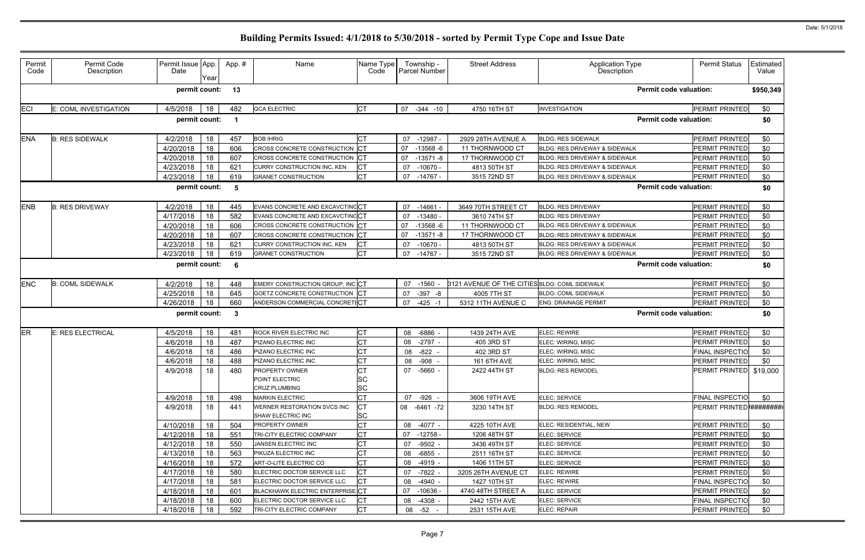| Permit<br>Code | Permit Code<br>Description | Permit Issue App.<br>Date | Year | App.#        | Name                                                            | Name Type<br>Code                   | Township -<br>Parcel Number | <b>Street Address</b>                         | <b>Application Type</b><br>Description   | <b>Permit Status</b>      | Estimated<br>Value |
|----------------|----------------------------|---------------------------|------|--------------|-----------------------------------------------------------------|-------------------------------------|-----------------------------|-----------------------------------------------|------------------------------------------|---------------------------|--------------------|
|                |                            | permit count:             |      | 13           |                                                                 |                                     |                             |                                               | <b>Permit code valuation:</b>            |                           | \$950,349          |
| <b>ECI</b>     | E: COML INVESTIGATION      | 4/5/2018                  | 18   | 482          | QCA ELECTRIC                                                    | СT                                  | 07 -344 -10                 | 4750 16TH ST                                  | <b>INVESTIGATION</b>                     | PERMIT PRINTED            | \$0                |
|                |                            | permit count:             |      |              |                                                                 |                                     |                             |                                               | <b>Permit code valuation:</b>            |                           | \$0                |
| <b>ENA</b>     | <b>B: RES SIDEWALK</b>     | 4/2/2018                  | 18   | 457          | <b>BOB IHRIG</b>                                                |                                     | $-12987$<br>07              | 2929 28TH AVENUE A                            | <b>BLDG: RES SIDEWALK</b>                | PERMIT PRINTED            | \$0                |
|                |                            | 4/20/2018                 | 18   | 606          | CROSS CONCRETE CONSTRUCTION                                     | СT                                  | 07<br>$-13568 - 6$          | 11 THORNWOOD CT                               | BLDG: RES DRIVEWAY & SIDEWALK            | <b>PERMIT PRINTED</b>     | \$0                |
|                |                            | 4/20/2018                 | 18   | 607          | CROSS CONCRETE CONSTRUCTION                                     | ICT                                 | 07<br>$-13571 - 8$          | 17 THORNWOOD CT                               | <b>BLDG: RES DRIVEWAY &amp; SIDEWALK</b> | <b>PERMIT PRINTED</b>     | \$0                |
|                |                            | 4/23/2018                 | 18   | 621          | CURRY CONSTRUCTION INC, KEN                                     |                                     | $-10670 -$<br>07            | 4813 50TH ST                                  | <b>BLDG: RES DRIVEWAY &amp; SIDEWALK</b> | PERMIT PRINTED            | \$0                |
|                |                            | 4/23/2018                 | 18   | 619          | <b>GRANET CONSTRUCTION</b>                                      | СT                                  | 07<br>-14767 -              | 3515 72ND ST                                  | BLDG: RES DRIVEWAY & SIDEWALK            | PERMIT PRINTED            | \$0                |
|                |                            | permit count:             |      | -5           |                                                                 |                                     |                             |                                               | <b>Permit code valuation:</b>            |                           | \$0                |
| <b>ENB</b>     | <b>B: RES DRIVEWAY</b>     | 4/2/2018                  | 18   | 445          | EVANS CONCRETE AND EXCAVCTINGCT                                 |                                     | 07<br>$-14661$              | 3649 70TH STREET CT                           | <b>BLDG: RES DRIVEWAY</b>                | PERMIT PRINTED            | \$0                |
|                |                            | 4/17/2018                 | 18   | 582          | EVANS CONCRETE AND EXCAVCTINCCT                                 |                                     | $-13480$<br>07              | 3610 74TH ST                                  | <b>BLDG: RES DRIVEWAY</b>                | PERMIT PRINTED            | \$0                |
|                |                            | 4/20/2018                 | 18   | 606          | CROSS CONCRETE CONSTRUCTION                                     | ICT                                 | 07<br>$-13568 - 6$          | 11 THORNWOOD CT                               | BLDG: RES DRIVEWAY & SIDEWALK            | PERMIT PRINTED            | \$0                |
|                |                            | 4/20/2018                 | 18   | 607          | CROSS CONCRETE CONSTRUCTION                                     | IСТ                                 | $-13571 - 8$<br>07          | 17 THORNWOOD CT                               | BLDG: RES DRIVEWAY & SIDEWALK            | PERMIT PRINTED            | \$0                |
|                |                            | 4/23/2018                 | 18   | 621          | CURRY CONSTRUCTION INC, KEN                                     |                                     | 07<br>$-10670 -$            | 4813 50TH ST                                  | <b>BLDG: RES DRIVEWAY &amp; SIDEWALK</b> | PERMIT PRINTED            | \$0                |
|                |                            | 4/23/2018                 | 18   | 619          | <b>GRANET CONSTRUCTION</b>                                      | <b>CT</b>                           | 07<br>$-14767$              | 3515 72ND ST                                  | BLDG: RES DRIVEWAY & SIDEWALK            | <b>PERMIT PRINTED</b>     | \$0                |
|                |                            | permit count:             |      | 6            |                                                                 |                                     |                             |                                               | <b>Permit code valuation:</b>            |                           | \$0                |
| <b>ENC</b>     | <b>B: COML SIDEWALK</b>    | 4/2/2018                  | 18   | 448          | EMERY CONSTRUCTION GROUP, INC                                   |                                     | $-1560$<br>07               | 3121 AVENUE OF THE CITIES BLDG: COML SIDEWALK |                                          | <b>PERMIT PRINTED</b>     | \$0                |
|                |                            | 4/25/2018                 | 18   | 645          | GOETZ CONCRETE CONSTRUCTION                                     | ICT                                 | $-397 - 8$<br>07            | 4005 7TH ST                                   | <b>BLDG: COML SIDEWALK</b>               | PERMIT PRINTED            | \$0                |
|                |                            | 4/26/2018                 | 18   | 660          | ANDERSON COMMERCIAL CONCRETICT                                  |                                     | 07<br>$-425 - 1$            | 5312 11TH AVENUE C                            | <b>ENG: DRAINAGE PERMIT</b>              | PERMIT PRINTED            | \$0                |
|                |                            | permit count:             |      | $\mathbf{3}$ |                                                                 |                                     |                             |                                               | <b>Permit code valuation:</b>            |                           | \$0                |
| <b>ER</b>      | E: RES ELECTRICAL          | 4/5/2018                  | 18   | 481          | ROCK RIVER ELECTRIC INC                                         | СT                                  | $-6886$<br>08               | 1439 24TH AVE                                 | ELEC: REWIRE                             | <b>PERMIT PRINTED</b>     | \$0                |
|                |                            | 4/6/2018                  | 18   | 487          | PIZANO ELECTRIC INC                                             |                                     | $-2797 -$<br>08             | 405 3RD ST                                    | ELEC: WIRING, MISC                       | PERMIT PRINTED            | \$0                |
|                |                            | 4/6/2018                  | 18   | 486          | PIZANO ELECTRIC INC                                             |                                     | $-822$<br>08                | 402 3RD ST                                    | ELEC: WIRING, MISC                       | FINAL INSPECTIO           | \$0                |
|                |                            | 4/6/2018                  | 18   | 488          | PIZANO ELECTRIC INC                                             |                                     | $-908$<br>08                | 161 6TH AVE                                   | ELEC: WIRING, MISC                       | <b>PERMIT PRINTED</b>     | \$0                |
|                |                            | 4/9/2018                  | 18   | 480          | <b>PROPERTY OWNER</b><br>POINT ELECTRIC<br><b>CRUZ PLUMBING</b> | <b>CT</b><br><b>SC</b><br><b>SC</b> | -5660<br>07                 | 2422 44TH ST                                  | <b>BLDG: RES REMODEL</b>                 | PERMIT PRINTED \$19,000   |                    |
|                |                            | 4/9/2018                  | 18   | 498          | <b>MARKIN ELECTRIC</b>                                          | <b>CT</b>                           | 07 -926 -                   | 3606 19TH AVE                                 | ELEC: SERVICE                            | <b>FINAL INSPECTIO</b>    | \$0                |
|                |                            | 4/9/2018                  | 18   | 441          | WERNER RESTORATION SVCS INC<br>SHAW ELECTRIC INC                | СT<br><b>SC</b>                     | 08 -6461 -72                | 3230 14TH ST                                  | <b>BLDG: RES REMODEL</b>                 | PERMIT PRINTED ########## |                    |
|                |                            | 4/10/2018                 | 18   | 504          | PROPERTY OWNER                                                  | СT                                  | 08 -4077 -                  | 4225 10TH AVE                                 | ELEC: RESIDENTIAL, NEW                   | PERMIT PRINTED            | \$0                |
|                |                            | 4/12/2018                 | 18   | 551          | TRI-CITY ELECTRIC COMPANY                                       | СT                                  | -12758 -<br>07              | 1206 48TH ST                                  | ELEC: SERVICE                            | PERMIT PRINTED            | \$0                |
|                |                            | 4/12/2018                 | 18   | 550          | JANSEN ELECTRIC INC                                             |                                     | $-9502 -$<br>07             | 3436 49TH ST                                  | ELEC: SERVICE                            | <b>PERMIT PRINTED</b>     | \$0                |
|                |                            | 4/13/2018                 | 18   | 563          | PIKUZA ELECTRIC INC                                             |                                     | $-6855 -$<br>08             | 2511 16TH ST                                  | ELEC: SERVICE                            | <b>PERMIT PRINTED</b>     | \$0                |
|                |                            | 4/16/2018                 | 18   | 572          | ART-O-LITE ELECTRIC CO                                          | СT                                  | 08<br>$-4919 -$             | 1406 11TH ST                                  | ELEC: SERVICE                            | PERMIT PRINTED            | \$0                |
|                |                            | 4/17/2018                 | 18   | 580          | ELECTRIC DOCTOR SERVICE LLC                                     | СT                                  | 07<br>$-7822 -$             | 3205 26TH AVENUE CT                           | <b>ELEC: REWIRE</b>                      | PERMIT PRINTED            | \$0                |
|                |                            | 4/17/2018                 | 18   | 581          | ELECTRIC DOCTOR SERVICE LLC                                     |                                     | 08<br>$-4940 -$             | 1427 10TH ST                                  | <b>ELEC: REWIRE</b>                      | <b>FINAL INSPECTIO</b>    | \$0                |
|                |                            | 4/18/2018                 | 18   | 601          | <b>BLACKHAWK ELECTRIC ENTERPRISE CT</b>                         |                                     | $-10636$<br>07              | 4740 48TH STREET A                            | ELEC: SERVICE                            | <b>PERMIT PRINTED</b>     | \$0                |
|                |                            | 4/18/2018                 | 18   | 600          | ELECTRIC DOCTOR SERVICE LLC                                     |                                     | $-4308 -$<br>08             | 2442 15TH AVE                                 | ELEC: SERVICE                            | <b>FINAL INSPECTIO</b>    | \$0                |
|                |                            | 4/18/2018                 | 18   | 592          | TRI-CITY ELECTRIC COMPANY                                       | CТ                                  | 08 -52 -                    | 2531 15TH AVE                                 | ELEC: REPAIR                             | PERMIT PRINTED            | \$0                |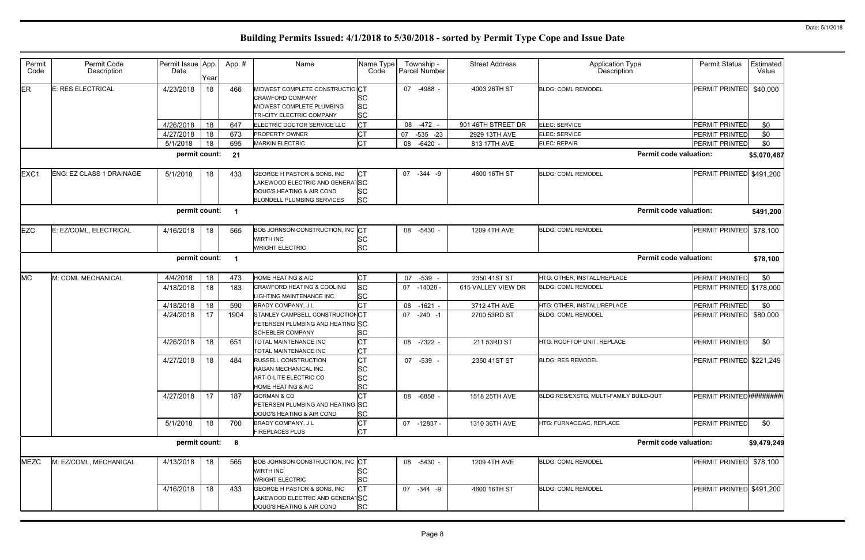| ype<br>n                      | <b>Permit Status</b>     | Estimated<br>Value |
|-------------------------------|--------------------------|--------------------|
|                               | PERMIT PRINTED           | \$40,000           |
|                               | PERMIT PRINTED           | \$0                |
|                               | PERMIT PRINTED           | \$0                |
|                               | PERMIT PRINTED           | \$0                |
| <b>Permit code valuation:</b> |                          | \$5,070,487        |
|                               | PERMIT PRINTED           | \$491,200          |
| <b>Permit code valuation:</b> |                          | \$491,200          |
|                               | PERMIT PRINTED           | \$78,100           |
| <b>Permit code valuation:</b> |                          | \$78,100           |
|                               | PERMIT PRINTED           | \$0                |
|                               | PERMIT PRINTED           | \$178,000          |
|                               | PERMIT PRINTED           | \$0                |
|                               | PERMIT PRINTED           | \$80,000           |
|                               | PERMIT PRINTED           | \$0                |
|                               | PERMIT PRINTED           | \$221,249          |
| ' Build-out                   | PERMIT PRINTED ######### |                    |
|                               | PERMIT PRINTED           | \$0                |
| <b>Permit code valuation:</b> |                          | \$9,479,249        |
|                               | PERMIT PRINTED           | \$78,100           |
|                               | PERMIT PRINTED           | \$491,200          |
|                               |                          |                    |

| Permit<br>Code | Permit Code<br>Description      | Permit Issue App.<br>Date | Year | App. # | Name                                                                                                                      | Name Type<br>Code                                | Township -<br>Parcel Number | <b>Street Address</b> | <b>Application Type</b><br>Description | <b>Permit Status</b>          | Estimated<br>Value |
|----------------|---------------------------------|---------------------------|------|--------|---------------------------------------------------------------------------------------------------------------------------|--------------------------------------------------|-----------------------------|-----------------------|----------------------------------------|-------------------------------|--------------------|
| <b>ER</b>      | <b>E: RES ELECTRICAL</b>        | 4/23/2018                 | 18   | 466    | MIDWEST COMPLETE CONSTRUCTIOICT<br><b>CRAWFORD COMPANY</b><br>MIDWEST COMPLETE PLUMBING<br>TRI-CITY ELECTRIC COMPANY      | <b>SC</b><br><b>SC</b><br><b>SC</b>              | 07 -4988 -                  | 4003 26TH ST          | <b>BLDG: COML REMODEL</b>              | <b>PERMIT PRINTED</b>         | \$40,000           |
|                |                                 | 4/26/2018                 | 18   | 647    | ELECTRIC DOCTOR SERVICE LLC                                                                                               | <b>CT</b>                                        | $-472 -$<br>08              | 901 46TH STREET DR    | ELEC: SERVICE                          | <b>PERMIT PRINTED</b>         | \$0                |
|                |                                 | 4/27/2018                 | 18   | 673    | PROPERTY OWNER                                                                                                            | <b>CT</b>                                        | 07<br>$-535 -23$            | 2929 13TH AVE         | ELEC: SERVICE                          | <b>PERMIT PRINTED</b>         | \$0                |
|                |                                 | 5/1/2018                  | 18   | 695    | <b>MARKIN ELECTRIC</b>                                                                                                    | Iст                                              | $-6420$<br>08               | 813 17TH AVE          | <b>ELEC: REPAIR</b>                    | <b>PERMIT PRINTED</b>         | \$0                |
|                |                                 | permit count:             |      | 21     |                                                                                                                           |                                                  |                             |                       |                                        | <b>Permit code valuation:</b> | \$5,070,487        |
| EXC1           | <b>ENG: EZ CLASS 1 DRAINAGE</b> | 5/1/2018                  | 18   | 433    | GEORGE H PASTOR & SONS, INC<br>LAKEWOOD ELECTRIC AND GENERATSC<br>DOUG'S HEATING & AIR COND<br>BLONDELL PLUMBING SERVICES | <b>CT</b><br><b>SC</b><br><b>SC</b>              | 07 - 344 - 9                | 4600 16TH ST          | <b>BLDG: COML REMODEL</b>              | PERMIT PRINTED \$491,200      |                    |
|                |                                 | permit count:             |      | -1     |                                                                                                                           |                                                  |                             |                       |                                        | <b>Permit code valuation:</b> | \$491,200          |
| <b>EZC</b>     | E: EZ/COML, ELECTRICAL          | 4/16/2018                 | 18   | 565    | <b>BOB JOHNSON CONSTRUCTION, INC CT</b><br><b>WIRTH INC</b><br><b>WRIGHT ELECTRIC</b>                                     | <b>SC</b><br><b>SC</b>                           | 08 -5430 -                  | 1209 4TH AVE          | <b>BLDG: COML REMODEL</b>              | PERMIT PRINTED                | \$78,100           |
|                |                                 | permit count:             |      | -1     |                                                                                                                           |                                                  |                             |                       |                                        | <b>Permit code valuation:</b> | \$78,100           |
| <b>MC</b>      | M: COML MECHANICAL              | 4/4/2018                  | 18   | 473    | HOME HEATING & A/C                                                                                                        | <b>CT</b>                                        | -539<br>07                  | 2350 41ST ST          | HTG: OTHER, INSTALL/REPLACE            | <b>PERMIT PRINTED</b>         | \$0                |
|                |                                 | 4/18/2018                 | 18   | 183    | CRAWFORD HEATING & COOLING<br>LIGHTING MAINTENANCE INC                                                                    | <b>SC</b><br><b>SC</b>                           | 07 -14028 -                 | 615 VALLEY VIEW DR    | <b>BLDG: COML REMODEL</b>              | PERMIT PRINTED \$178,000      |                    |
|                |                                 | 4/18/2018                 | 18   | 590    | BRADY COMPANY, J L                                                                                                        | <b>CT</b>                                        | 08<br>$-1621$               | 3712 4TH AVE          | HTG: OTHER, INSTALL/REPLACE            | PERMIT PRINTED                | \$0                |
|                |                                 | 4/24/2018                 | 17   | 1904   | STANLEY CAMPBELL CONSTRUCTIONCT<br>PETERSEN PLUMBING AND HEATING SC<br>SCHEBLER COMPANY                                   | <b>SC</b>                                        | 07 -240 -1                  | 2700 53RD ST          | <b>BLDG: COML REMODEL</b>              | PERMIT PRINTED                | \$80,000           |
|                |                                 | 4/26/2018                 | 18   | 651    | TOTAL MAINTENANCE INC<br>TOTAL MAINTENANCE INC                                                                            | <b>CT</b><br>Iст                                 | 08 -7322                    | 211 53RD ST           | HTG: ROOFTOP UNIT, REPLACE             | <b>PERMIT PRINTED</b>         | \$0                |
|                |                                 | 4/27/2018                 | 18   | 484    | RUSSELL CONSTRUCTION<br>RAGAN MECHANICAL INC.<br>ART-O-LITE ELECTRIC CO<br><b>HOME HEATING &amp; A/C</b>                  | <b>CT</b><br><b>SC</b><br><b>SC</b><br><b>SC</b> | 07 -539                     | 2350 41ST ST          | <b>BLDG: RES REMODEL</b>               | PERMIT PRINTED \$221,249      |                    |
|                |                                 | 4/27/2018                 | 17   | 187    | <b>GORMAN &amp; CO</b><br>PETERSEN PLUMBING AND HEATING SC<br>DOUG'S HEATING & AIR COND                                   | СT<br><b>SC</b>                                  | 08 -6858 -                  | 1518 25TH AVE         | BLDG:RES/EXSTG, MULTI-FAMILY BUILD-OUT |                               |                    |
|                |                                 | 5/1/2018                  | 18   | 700    | BRADY COMPANY, J L<br><b>FIREPLACES PLUS</b>                                                                              | <b>CT</b><br><b>CT</b>                           | 07 -12837 -                 | 1310 36TH AVE         | HTG: FURNACE/AC, REPLACE               | PERMIT PRINTED                | \$0                |
|                |                                 | permit count:             |      | 8      |                                                                                                                           |                                                  |                             |                       |                                        | <b>Permit code valuation:</b> | \$9,479,249        |
| <b>MEZC</b>    | M: EZ/COML, MECHANICAL          | 4/13/2018                 | 18   | 565    | BOB JOHNSON CONSTRUCTION, INC CT<br><b>WIRTH INC</b><br><b>WRIGHT ELECTRIC</b>                                            | <b>SC</b><br><b>SC</b>                           | 08 -5430 -                  | 1209 4TH AVE          | <b>BLDG: COML REMODEL</b>              | PERMIT PRINTED                | \$78,100           |
|                |                                 | 4/16/2018                 | 18   | 433    | GEORGE H PASTOR & SONS, INC<br>LAKEWOOD ELECTRIC AND GENERATSC<br>DOUG'S HEATING & AIR COND                               | <b>CT</b><br><b>SC</b>                           | 07 - 344 - 9                | 4600 16TH ST          | <b>BLDG: COML REMODEL</b>              | PERMIT PRINTED \$491,200      |                    |
|                |                                 |                           |      |        |                                                                                                                           |                                                  |                             |                       |                                        |                               |                    |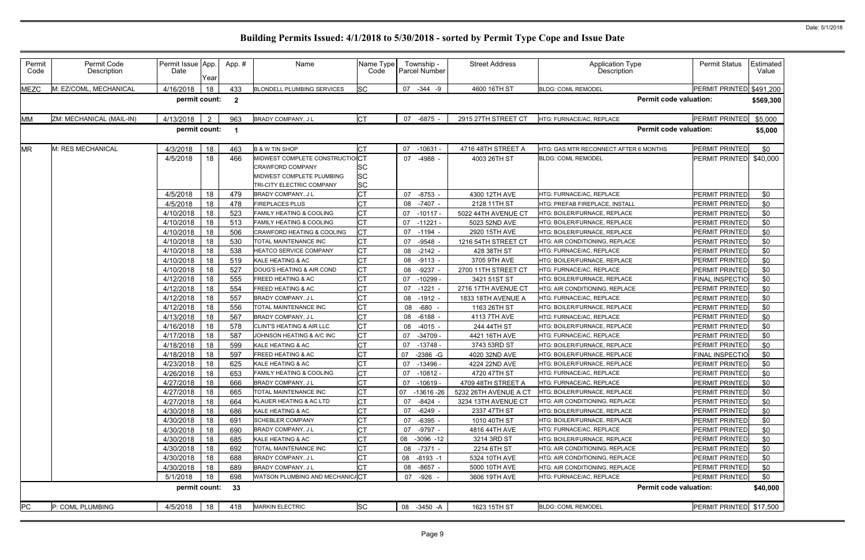| Permit<br>Code | Permit Code<br>Description | Permit Issue App.<br>Date | Year           | App.#        | Name                                                                                                          | Name Type<br>Code                   | Township -<br><b>Parcel Number</b> | <b>Street Address</b>       | <b>Application Type</b><br>Description                   | <b>Permit Status</b>             | Estimated<br>Value |
|----------------|----------------------------|---------------------------|----------------|--------------|---------------------------------------------------------------------------------------------------------------|-------------------------------------|------------------------------------|-----------------------------|----------------------------------------------------------|----------------------------------|--------------------|
| <b>MEZC</b>    | M: EZ/COML, MECHANICAL     | 4/16/2018                 | 18             | 433          | <b>BLONDELL PLUMBING SERVICES</b>                                                                             | <b>SC</b>                           | 07 -344 -9                         | 4600 16TH ST                | <b>BLDG: COML REMODEL</b>                                | PERMIT PRINTED \$491,200         |                    |
|                |                            | permit count:             |                | $\mathbf{2}$ |                                                                                                               |                                     |                                    |                             | <b>Permit code valuation:</b>                            |                                  | \$569,300          |
| MM             | ZM: MECHANICAL (MAIL-IN)   | 4/13/2018                 | $\overline{2}$ | 963          | BRADY COMPANY, J L                                                                                            | <b>CT</b>                           | -6875 -<br>07                      | 2915 27TH STREET CT         | HTG: FURNACE/AC, REPLACE                                 | PERMIT PRINTED                   | \$5,000            |
|                |                            | permit count:             |                |              |                                                                                                               |                                     |                                    |                             | <b>Permit code valuation:</b>                            |                                  | \$5,000            |
| <b>MR</b>      | M: RES MECHANICAL          | 4/3/2018                  | 18             | 463          | <b>B &amp; W TIN SHOP</b>                                                                                     | <b>CT</b>                           | $-10631$<br>07                     | 4716 48TH STREET A          | HTG: GAS MTR RECONNECT AFTER 6 MONTHS                    | <b>PERMIT PRINTED</b>            | \$0                |
|                |                            | 4/5/2018                  | 18             | 466          | MIDWEST COMPLETE CONSTRUCTIOICT<br>CRAWFORD COMPANY<br>MIDWEST COMPLETE PLUMBING<br>TRI-CITY ELECTRIC COMPANY | <b>SC</b><br><b>SC</b><br><b>SC</b> | 07 -4988 -                         | 4003 26TH ST                | <b>BLDG: COML REMODEL</b>                                | PERMIT PRINTED                   | \$40,000           |
|                |                            | 4/5/2018                  | 18             | 479          | BRADY COMPANY, J L                                                                                            | <b>CT</b>                           | $-8753 -$<br>07                    | 4300 12TH AVE               | HTG: FURNACE/AC, REPLACE                                 | <b>PERMIT PRINTED</b>            | \$0                |
|                |                            | 4/5/2018                  | 18             | 478          | <b>FIREPLACES PLUS</b>                                                                                        | <b>CT</b>                           | 08<br>-7407 -                      | 2128 11TH ST                | HTG: PREFAB FIREPLACE, INSTALL                           | PERMIT PRINTED                   | \$0                |
|                |                            | 4/10/2018                 | 18             | 523          | FAMILY HEATING & COOLING                                                                                      | <b>CT</b>                           | 07<br>$-10117$                     | 5022 44TH AVENUE CT         | HTG: BOILER/FURNACE, REPLACE                             | PERMIT PRINTED                   | \$0                |
|                |                            | 4/10/2018                 | 18             | 513          | FAMILY HEATING & COOLING                                                                                      | СT                                  | 07<br>$-11221 -$                   | 5023 52ND AVE               | HTG: BOILER/FURNACE, REPLACE                             | PERMIT PRINTED                   | \$0                |
|                |                            | 4/10/2018                 | 18             | 506          | CRAWFORD HEATING & COOLING                                                                                    | <b>CT</b>                           | 07<br>$-1194 -$                    | 2920 15TH AVE               | HTG: BOILER/FURNACE. REPLACE                             | <b>PERMIT PRINTED</b>            | \$0                |
|                |                            | 4/10/2018                 | 18             | 530          | TOTAL MAINTENANCE INC                                                                                         | <b>CT</b>                           | $-9548 -$<br>07                    | 1216 54TH STREET CT         | <b>HTG: AIR CONDITIONING. REPLACE</b>                    | PERMIT PRINTED                   | \$0                |
|                |                            | 4/10/2018                 | 18             | 538          | HEATCO SERVICE COMPANY                                                                                        | <b>CT</b>                           | $-2142 -$<br>08                    | 428 38TH ST<br>3705 9TH AVE | HTG: FURNACE/AC, REPLACE<br>HTG: BOILER/FURNACE, REPLACE | PERMIT PRINTED                   | \$0                |
|                |                            | 4/10/2018<br>4/10/2018    | 18<br>18       | 519<br>527   | KALE HEATING & AC<br>DOUG'S HEATING & AIR COND                                                                | СT<br>СT                            | $-9113 -$<br>08<br>$-9237 -$<br>08 | 2700 11TH STREET CT         | HTG: FURNACE/AC, REPLACE                                 | PERMIT PRINTED<br>PERMIT PRINTED | \$0<br>\$0         |
|                |                            | 4/12/2018                 | 18             | 555          | FREED HEATING & AC                                                                                            | <b>CT</b>                           | 07<br>$-10299 -$                   | 3421 51ST ST                | HTG: BOILER/FURNACE, REPLACE                             | FINAL INSPECTIO                  | \$0                |
|                |                            | 4/12/2018                 | 18             | 554          | FREED HEATING & AC                                                                                            | <b>CT</b>                           | $-1221 -$<br>07                    | 2716 17TH AVENUE CT         | HTG: AIR CONDITIONING, REPLACE                           | PERMIT PRINTED                   | \$0                |
|                |                            | 4/12/2018                 | 18             | 557          | BRADY COMPANY, J L                                                                                            | <b>CT</b>                           | 08<br>$-1912 -$                    | 1833 18TH AVENUE A          | HTG: FURNACE/AC, REPLACE                                 | PERMIT PRINTED                   | \$0                |
|                |                            | 4/12/2018                 | 18             | 556          | TOTAL MAINTENANCE INC                                                                                         | СT                                  | -680<br>08                         | 1163 26TH ST                | HTG: BOILER/FURNACE, REPLACE                             | PERMIT PRINTED                   | \$0                |
|                |                            | 4/13/2018                 | 18             | 567          | BRADY COMPANY, J L                                                                                            | <b>CT</b>                           | 08<br>$-6188 -$                    | 4113 7TH AVE                | HTG: FURNACE/AC, REPLACE                                 | <b>PERMIT PRINTED</b>            | \$0                |
|                |                            | 4/16/2018                 | 18             | 578          | CLINT'S HEATING & AIR LLC                                                                                     | <b>CT</b>                           | $-4015 -$<br>08                    | 244 44TH ST                 | HTG: BOILER/FURNACE, REPLACE                             | PERMIT PRINTED                   | \$0                |
|                |                            | 4/17/2018                 | 18             | 587          | JOHNSON HEATING & A/C INC                                                                                     | <b>CT</b>                           | 07<br>$-34709 -$                   | 4421 16TH AVE               | HTG: FURNACE/AC, REPLACE                                 | PERMIT PRINTED                   | \$0                |
|                |                            | 4/18/2018                 | 18             | 599          | KALE HEATING & AC                                                                                             | <b>CT</b>                           | $-13748 -$<br>07                   | 3743 53RD ST                | HTG: BOILER/FURNACE, REPLACE                             | PERMIT PRINTED                   | \$0                |
|                |                            | 4/18/2018                 | 18             | 597          | FREED HEATING & AC                                                                                            | СT                                  | 07<br>$-2386 - G$                  | 4020 32ND AVE               | HTG: BOILER/FURNACE. REPLACE                             | <b>FINAL INSPECTIO</b>           | \$0                |
|                |                            | 4/23/2018                 | 18             | 625          | KALE HEATING & AC                                                                                             | <b>CT</b>                           | 07<br>$-13496 -$                   | 4224 22ND AVE               | HTG: BOILER/FURNACE, REPLACE                             | PERMIT PRINTED                   | \$0                |
|                |                            | 4/26/2018 18              |                | 653          | FAMILY HEATING & COOLING                                                                                      | Inт<br>◡                            | 07 -10812 -                        | 4720 47TH ST                | HTG: FURNACE/AC, REPLACE                                 | PERMIT PRINTED                   | \$0                |
|                |                            | 4/27/2018                 | 18             | 666          | <b>BRADY COMPANY, JL</b>                                                                                      | СT                                  | -10619 -<br>07                     | 4709 48TH STREET A          | HTG: FURNACE/AC, REPLACE                                 | PERMIT PRINTED                   | \$0                |
|                |                            | 4/27/2018                 | 18             | 665          | TOTAL MAINTENANCE INC                                                                                         | <b>CT</b>                           | 07 -13616 -26                      | 5232 26TH AVENUE A CT       | HTG: BOILER/FURNACE, REPLACE                             | PERMIT PRINTED                   | \$0                |
|                |                            | 4/27/2018                 | 18             | 664          | KLAUER HEATING & AC LTD                                                                                       | <b>CT</b>                           | 07 -8424 -                         | 3234 13TH AVENUE CT         | HTG: AIR CONDITIONING, REPLACE                           | PERMIT PRINTED                   | \$0                |
|                |                            | 4/30/2018                 | 18             | 686          | KALE HEATING & AC                                                                                             | <b>CT</b>                           | $-6249 -$<br>07                    | 2337 47TH ST                | HTG: BOILER/FURNACE, REPLACE                             | PERMIT PRINTED                   | \$0                |
|                |                            | 4/30/2018                 | 18             | 691          | <b>SCHEBLER COMPANY</b>                                                                                       | <b>CT</b>                           | -6395 -<br>07                      | 1010 40TH ST                | HTG: BOILER/FURNACE, REPLACE                             | PERMIT PRINTED                   | \$0                |
|                |                            | 4/30/2018                 | 18             | 690          | BRADY COMPANY, J L<br>KALE HEATING & AC                                                                       | <b>CT</b><br>СT                     | -9797 -<br>07                      | 4816 44TH AVE               | HTG: FURNACE/AC, REPLACE<br>HTG: BOILER/FURNACE, REPLACE | PERMIT PRINTED                   | \$0                |
|                |                            | 4/30/2018<br>4/30/2018    | 18<br>18       | 685<br>692   | TOTAL MAINTENANCE INC                                                                                         | IСТ                                 | 08<br>-3096 -12<br>-7371 -<br>08   | 3214 3RD ST<br>2214 6TH ST  | HTG: AIR CONDITIONING, REPLACE                           | PERMIT PRINTED<br>PERMIT PRINTED | \$0                |
|                |                            | 4/30/2018                 | 18             | 688          | <b>BRADY COMPANY, JL</b>                                                                                      | <b>CT</b>                           | $-8193 - 1$<br>08                  | 5324 10TH AVE               | HTG: AIR CONDITIONING, REPLACE                           | PERMIT PRINTED                   | \$0<br>\$0         |
|                |                            | 4/30/2018                 | 18             | 689          | BRADY COMPANY, J L                                                                                            | СT                                  | -8657 -<br>08                      | 5000 10TH AVE               | HTG: AIR CONDITIONING, REPLACE                           | PERMIT PRINTED                   | \$0                |
|                |                            | 5/1/2018                  | 18             | 698          | WATSON PLUMBING AND MECHANIC/CT                                                                               |                                     | 07 -926 -                          | 3606 19TH AVE               | HTG: FURNACE/AC, REPLACE                                 | <b>PERMIT PRINTED</b>            | \$0                |
|                |                            | permit count:             |                | 33           |                                                                                                               |                                     |                                    |                             | <b>Permit code valuation:</b>                            |                                  | \$40,000           |
| PC             | P: COML PLUMBING           | 4/5/2018                  | 18             | 418          | <b>MARKIN ELECTRIC</b>                                                                                        | <b>SC</b>                           | 08 -3450 -A                        | 1623 15TH ST                | <b>BLDG: COML REMODEL</b>                                | PERMIT PRINTED \$17,500          |                    |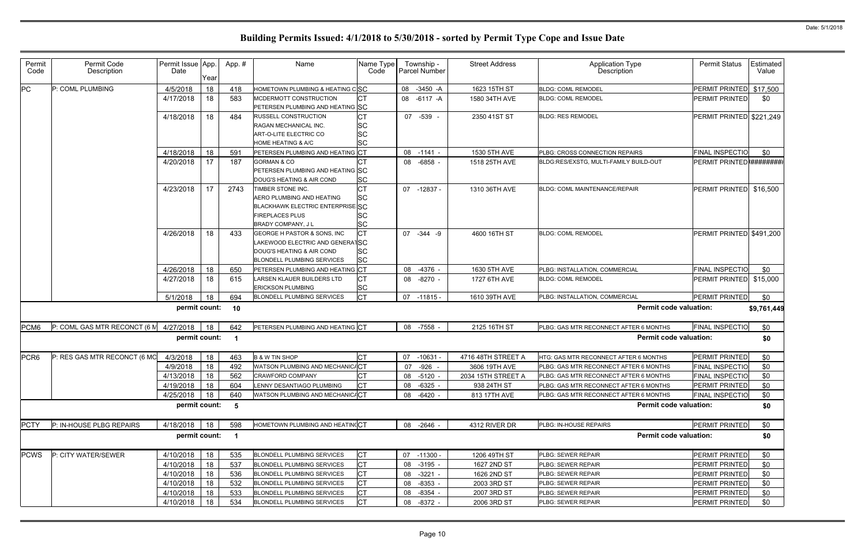| Permit<br>Code   | Permit Code<br>Description   | Permit Issue App<br>Date | Year | App.# | Name                                                       | Name Type<br>Code | Township -<br>Parcel Number | <b>Street Address</b> | <b>Application Type</b><br>Description | <b>Permit Status</b>      | Estimated<br>Value |
|------------------|------------------------------|--------------------------|------|-------|------------------------------------------------------------|-------------------|-----------------------------|-----------------------|----------------------------------------|---------------------------|--------------------|
| PC               | P: COML PLUMBING             | 4/5/2018                 | 18   | 418   | HOMETOWN PLUMBING & HEATING CSC                            |                   | 08<br>$-3450 - A$           | 1623 15TH ST          | <b>BLDG: COML REMODEL</b>              | PERMIT PRINTED \$17,500   |                    |
|                  |                              | 4/17/2018                | 18   | 583   | MCDERMOTT CONSTRUCTION<br>PETERSEN PLUMBING AND HEATING SC | <b>CT</b>         | 08<br>$-6117 - A$           | 1580 34TH AVE         | <b>BLDG: COML REMODEL</b>              | <b>PERMIT PRINTED</b>     | \$0                |
|                  |                              | 4/18/2018                | 18   | 484   | RUSSELL CONSTRUCTION                                       | <b>CT</b>         | 07 -539 -                   | 2350 41ST ST          | <b>BLDG: RES REMODEL</b>               | PERMIT PRINTED \$221,249  |                    |
|                  |                              |                          |      |       | RAGAN MECHANICAL INC.                                      | SC                |                             |                       |                                        |                           |                    |
|                  |                              |                          |      |       | <b>ART-O-LITE ELECTRIC CO</b>                              | SC                |                             |                       |                                        |                           |                    |
|                  |                              |                          |      |       | <b>HOME HEATING &amp; A/C</b>                              | <b>SC</b>         |                             |                       |                                        |                           |                    |
|                  |                              | 4/18/2018                | 18   | 591   | PETERSEN PLUMBING AND HEATING CT                           |                   | 08 -1141 -                  | 1530 5TH AVE          | PLBG: CROSS CONNECTION REPAIRS         | <b>FINAL INSPECTIO</b>    | \$0                |
|                  |                              | 4/20/2018                | 17   | 187   | <b>GORMAN &amp; CO</b>                                     |                   | -6858 -<br>08               | 1518 25TH AVE         | BLDG:RES/EXSTG, MULTI-FAMILY BUILD-OUT | PERMIT PRINTED ########## |                    |
|                  |                              |                          |      |       | PETERSEN PLUMBING AND HEATING SC                           |                   |                             |                       |                                        |                           |                    |
|                  |                              | 4/23/2018                | 17   | 2743  | DOUG'S HEATING & AIR COND<br>TIMBER STONE INC.             | <b>SC</b><br>СT   |                             |                       | <b>BLDG: COML MAINTENANCE/REPAIR</b>   | PERMIT PRINTED \$16,500   |                    |
|                  |                              |                          |      |       | AERO PLUMBING AND HEATING                                  | SC                | 07<br>-12837 -              | 1310 36TH AVE         |                                        |                           |                    |
|                  |                              |                          |      |       | BLACKHAWK ELECTRIC ENTERPRISE SC                           |                   |                             |                       |                                        |                           |                    |
|                  |                              |                          |      |       | <b>FIREPLACES PLUS</b>                                     | SC                |                             |                       |                                        |                           |                    |
|                  |                              |                          |      |       | BRADY COMPANY, J L                                         | <b>SC</b>         |                             |                       |                                        |                           |                    |
|                  |                              | 4/26/2018                | 18   | 433   | <b>GEORGE H PASTOR &amp; SONS, INC</b>                     | <b>CT</b>         | $-344 - 9$<br>07            | 4600 16TH ST          | <b>BLDG: COML REMODEL</b>              | PERMIT PRINTED \$491,200  |                    |
|                  |                              |                          |      |       | LAKEWOOD ELECTRIC AND GENERATISC                           |                   |                             |                       |                                        |                           |                    |
|                  |                              |                          |      |       | DOUG'S HEATING & AIR COND                                  | <b>SC</b>         |                             |                       |                                        |                           |                    |
|                  |                              |                          |      |       | <b>BLONDELL PLUMBING SERVICES</b>                          | <b>SC</b>         |                             |                       |                                        |                           |                    |
|                  |                              | 4/26/2018                | 18   | 650   | PETERSEN PLUMBING AND HEATING CT                           |                   | 08<br>$-4376 -$             | 1630 5TH AVE          | PLBG: INSTALLATION, COMMERCIAL         | <b>FINAL INSPECTIO</b>    | \$0                |
|                  |                              | 4/27/2018                | 18   | 615   | LARSEN KLAUER BUILDERS LTD                                 | СT                | $-8270 -$<br>08             | 1727 6TH AVE          | <b>BLDG: COML REMODEL</b>              | PERMIT PRINTED \$15,000   |                    |
|                  |                              |                          |      |       | <b>ERICKSON PLUMBING</b>                                   | SC                |                             |                       |                                        |                           |                    |
|                  |                              | 5/1/2018                 | 18   | 694   | <b>BLONDELL PLUMBING SERVICES</b>                          | <b>CT</b>         | 07<br>-11815 -              | 1610 39TH AVE         | PLBG: INSTALLATION, COMMERCIAL         | PERMIT PRINTED            | \$0                |
|                  |                              | permit count:            |      | 10    |                                                            |                   |                             |                       | <b>Permit code valuation:</b>          |                           | \$9,761,449        |
| PCM <sub>6</sub> | P: COML GAS MTR RECONCT (6 M | 4/27/2018                | 18   | 642   | PETERSEN PLUMBING AND HEATING CT                           |                   | 08 -7558 -                  | 2125 16TH ST          | PLBG: GAS MTR RECONNECT AFTER 6 MONTHS | <b>FINAL INSPECTIO</b>    | \$0                |
|                  |                              | permit count:            |      | - 1   |                                                            |                   |                             |                       | <b>Permit code valuation:</b>          |                           | \$0                |
| PCR <sub>6</sub> | P: RES GAS MTR RECONCT (6 MO | 4/3/2018                 | 18   | 463   | <b>B &amp; W TIN SHOP</b>                                  | СT                | $-10631$<br>07              | 4716 48TH STREET A    | HTG: GAS MTR RECONNECT AFTER 6 MONTHS  | PERMIT PRINTED            | \$0                |
|                  |                              | 4/9/2018                 | 18   | 492   | WATSON PLUMBING AND MECHANIC/CT                            |                   | $-926 -$<br>07              | 3606 19TH AVE         | PLBG: GAS MTR RECONNECT AFTER 6 MONTHS | <b>FINAL INSPECTIO</b>    | \$0                |
|                  |                              | 4/13/2018                | 18   | 562   | <b>CRAWFORD COMPANY</b>                                    | СI                | 08 -5120 -                  | 2034 15TH STREET A    | PLBG: GAS MTR RECONNECT AFTER 6 MONTHS | <b>FINAL INSPECTIO</b>    | \$0                |
|                  |                              | 4/19/2018                | 18   | 604   | LENNY DESANTIAGO PLUMBING                                  | <b>CT</b>         | 08<br>$-6325 -$             | 938 24TH ST           | PLBG: GAS MTR RECONNECT AFTER 6 MONTHS | PERMIT PRINTED            | \$0                |
|                  |                              | 4/25/2018                | 18   | 640   | WATSON PLUMBING AND MECHANIC/CT                            |                   | 08 -6420 -                  | 813 17TH AVE          | PLBG: GAS MTR RECONNECT AFTER 6 MONTHS | <b>FINAL INSPECTIO</b>    | \$0                |
|                  |                              | permit count:            |      | 5     |                                                            |                   |                             |                       | <b>Permit code valuation:</b>          |                           | \$0                |
| <b>PCTY</b>      | P: IN-HOUSE PLBG REPAIRS     | 4/18/2018                | 18   | 598   | HOMETOWN PLUMBING AND HEATINGCT                            |                   | 08 -2646 -                  | 4312 RIVER DR         | PLBG: IN-HOUSE REPAIRS                 | PERMIT PRINTED            | \$0                |
|                  |                              | permit count:            |      | - 1   |                                                            |                   |                             |                       | <b>Permit code valuation:</b>          |                           | \$0                |
| <b>PCWS</b>      | P: CITY WATER/SEWER          | 4/10/2018                | 18   | 535   | <b>BLONDELL PLUMBING SERVICES</b>                          | <b>CT</b>         | 07 -11300 -                 | 1206 49TH ST          | PLBG: SEWER REPAIR                     | PERMIT PRINTED            | \$0                |
|                  |                              | 4/10/2018                | 18   | 537   | <b>BLONDELL PLUMBING SERVICES</b>                          | <b>CT</b>         | -3195 -<br>08               | 1627 2ND ST           | PLBG: SEWER REPAIR                     | PERMIT PRINTED            | \$0                |
|                  |                              | 4/10/2018                | 18   | 536   | BLONDELL PLUMBING SERVICES                                 | СT                | $-3221 -$<br>08             | 1626 2ND ST           | PLBG: SEWER REPAIR                     | PERMIT PRINTED            | \$0                |
|                  |                              | 4/10/2018                | 18   | 532   | <b>BLONDELL PLUMBING SERVICES</b>                          | СT                | $-8353 -$<br>08             | 2003 3RD ST           | PLBG: SEWER REPAIR                     | PERMIT PRINTED            | \$0                |
|                  |                              | 4/10/2018                | 18   | 533   | <b>BLONDELL PLUMBING SERVICES</b>                          | CТ                | -8354 -<br>08               | 2007 3RD ST           | PLBG: SEWER REPAIR                     | PERMIT PRINTED            | \$0                |
|                  |                              | 4/10/2018                | 18   | 534   | <b>BLONDELL PLUMBING SERVICES</b>                          | <b>CT</b>         | 08 -8372 -                  | 2006 3RD ST           | PLBG: SEWER REPAIR                     | PERMIT PRINTED            | \$0                |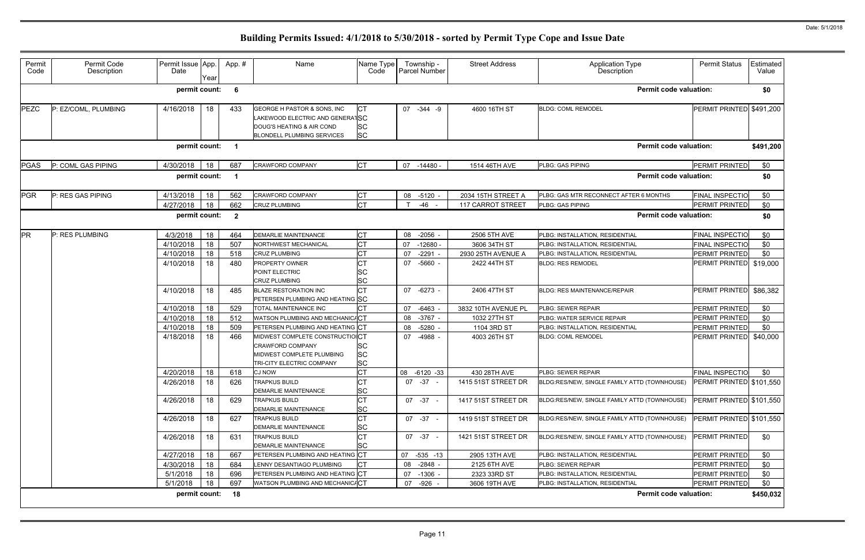| Permit<br>Code | Permit Code<br>Description | Permit Issue App.<br>Date | Year     | App.#        | Name                                                                                                                             | Name Type<br>Code                    | Township -<br>Parcel Number       | <b>Street Address</b>                   | <b>Application Type</b><br>Description                             | <b>Permit Status</b>                     | Estimated<br>Value |
|----------------|----------------------------|---------------------------|----------|--------------|----------------------------------------------------------------------------------------------------------------------------------|--------------------------------------|-----------------------------------|-----------------------------------------|--------------------------------------------------------------------|------------------------------------------|--------------------|
|                |                            | permit count:             |          | 6            |                                                                                                                                  |                                      |                                   |                                         | <b>Permit code valuation:</b>                                      |                                          | \$0                |
| PEZC           | P: EZ/COML, PLUMBING       | 4/16/2018                 | 18       | 433          | GEORGE H PASTOR & SONS, INC<br>LAKEWOOD ELECTRIC AND GENERATSC<br>DOUG'S HEATING & AIR COND<br><b>BLONDELL PLUMBING SERVICES</b> | <b>ICT</b><br><b>SC</b><br><b>SC</b> | 07<br>$-344 - 9$                  | 4600 16TH ST                            | <b>BLDG: COML REMODEL</b>                                          | PERMIT PRINTED \$491,200                 |                    |
|                |                            | permit count:             |          |              |                                                                                                                                  |                                      |                                   |                                         | <b>Permit code valuation:</b>                                      |                                          | \$491,200          |
| <b>PGAS</b>    | P: COML GAS PIPING         | 4/30/2018                 | 18       | 687          | <b>CRAWFORD COMPANY</b>                                                                                                          | Iст                                  | $07 - 14480$                      | 1514 46TH AVE                           | PLBG: GAS PIPING                                                   | PERMIT PRINTED                           | \$0                |
|                |                            | permit count:             |          |              |                                                                                                                                  |                                      |                                   |                                         | <b>Permit code valuation:</b>                                      |                                          | \$0                |
| PGR            | P: RES GAS PIPING          | 4/13/2018<br>4/27/2018    | 18<br>18 | 562<br>662   | <b>CRAWFORD COMPANY</b><br><b>CRUZ PLUMBING</b>                                                                                  | <b>CT</b><br><b>CT</b>               | 08 -5120 -<br>-46                 | 2034 15TH STREET A<br>117 CARROT STREET | PLBG: GAS MTR RECONNECT AFTER 6 MONTHS<br>PLBG: GAS PIPING         | <b>FINAL INSPECTIO</b><br>PERMIT PRINTED | \$0<br>\$0         |
|                |                            | permit count:             |          | $\mathbf{2}$ |                                                                                                                                  |                                      |                                   |                                         | <b>Permit code valuation:</b>                                      |                                          | \$0                |
| <b>PR</b>      | P: RES PLUMBING            | 4/3/2018                  | 18       | 464          | <b>DEMARLIE MAINTENANCE</b>                                                                                                      | СT                                   | $-2056$ -<br>08                   | 2506 5TH AVE                            | PLBG: INSTALLATION, RESIDENTIAL                                    | <b>FINAL INSPECTIO</b>                   | \$0                |
|                |                            | 4/10/2018<br>4/10/2018    | 18<br>18 | 507<br>518   | NORTHWEST MECHANICAL<br><b>CRUZ PLUMBING</b>                                                                                     | <b>CT</b><br><b>CT</b>               | $-12680$<br>07<br>$-2291 -$<br>07 | 3606 34TH ST<br>2930 25TH AVENUE A      | PLBG: INSTALLATION, RESIDENTIAL<br>PLBG: INSTALLATION, RESIDENTIAL | <b>FINAL INSPECTIO</b><br>PERMIT PRINTED | \$0<br>\$0         |
|                |                            | 4/10/2018                 | 18       | 480          | <b>PROPERTY OWNER</b><br>POINT ELECTRIC<br><b>CRUZ PLUMBING</b>                                                                  | СT<br>SC<br><b>SC</b>                | $-5660 -$<br>07                   | 2422 44TH ST                            | <b>BLDG: RES REMODEL</b>                                           | PERMIT PRINTED \$19,000                  |                    |
|                |                            | 4/10/2018                 | 18       | 485          | <b>BLAZE RESTORATION INC</b><br>PETERSEN PLUMBING AND HEATING SC                                                                 | <b>CT</b>                            | 07 -6273 -                        | 2406 47TH ST                            | <b>BLDG: RES MAINTENANCE/REPAIR</b>                                | PERMIT PRINTED                           | \$86,382           |
|                |                            | 4/10/2018                 | 18       | 529          | <b>TOTAL MAINTENANCE INC</b>                                                                                                     |                                      | $-6463$<br>07                     | 3832 10TH AVENUE PL                     | PLBG: SEWER REPAIR                                                 | PERMIT PRINTED                           | \$0                |
|                |                            | 4/10/2018                 | 18       | 512          | WATSON PLUMBING AND MECHANIC/CT                                                                                                  |                                      | $-3767 -$<br>08                   | 1032 27TH ST                            | PLBG: WATER SERVICE REPAIR                                         | PERMIT PRINTED                           | \$0                |
|                |                            | 4/10/2018                 | 18       | 509          | PETERSEN PLUMBING AND HEATING CT                                                                                                 |                                      | $-5280 -$<br>08                   | 1104 3RD ST                             | PLBG: INSTALLATION, RESIDENTIAL                                    | PERMIT PRINTED                           | \$0                |
|                |                            | 4/18/2018                 | 18       | 466          | MIDWEST COMPLETE CONSTRUCTIOICT<br><b>CRAWFORD COMPANY</b><br>MIDWEST COMPLETE PLUMBING<br>TRI-CITY ELECTRIC COMPANY             | SC<br><b>SC</b><br><b>SC</b>         | 07<br>$-4988 -$                   | 4003 26TH ST                            | <b>BLDG: COML REMODEL</b>                                          | PERMIT PRINTED                           | \$40,000           |
|                |                            | 4/20/2018 18              |          | 618          | <b>CJ NOW</b>                                                                                                                    | $\Gamma$<br>◡                        | 08 -6120 -33                      | 430 28TH AVE                            | PLBG: SEWER REPAIR                                                 | FINAL INSPECTIO                          | \$0                |
|                |                            | 4/26/2018                 | 18       | 626          | <b>TRAPKUS BUILD</b><br><b>DEMARLIE MAINTENANCE</b>                                                                              | <b>CT</b><br><b>SC</b>               | 07 - 37 -                         | 1415 51ST STREET DR                     | BLDG:RES/NEW, SINGLE FAMILY ATTD (TOWNHOUSE)                       | PERMIT PRINTED \$101,550                 |                    |
|                |                            | 4/26/2018                 | 18       | 629          | <b>TRAPKUS BUILD</b><br><b>DEMARLIE MAINTENANCE</b>                                                                              | <b>CT</b><br><b>SC</b>               | $07 - 37 -$                       | 1417 51ST STREET DR                     | BLDG:RES/NEW, SINGLE FAMILY ATTD (TOWNHOUSE)                       | PERMIT PRINTED \$101,550                 |                    |
|                |                            | 4/26/2018                 | 18       | 627          | <b>TRAPKUS BUILD</b><br><b>DEMARLIE MAINTENANCE</b>                                                                              | СT<br><b>SC</b>                      | 07 - 37 -                         | 1419 51ST STREET DR                     | BLDG:RES/NEW, SINGLE FAMILY ATTD (TOWNHOUSE)                       | PERMIT PRINTED \$101,550                 |                    |
|                |                            | 4/26/2018                 | 18       | 631          | <b>TRAPKUS BUILD</b><br>DEMARLIE MAINTENANCE                                                                                     | СT<br><b>SC</b>                      | 07 - 37 -                         | 1421 51ST STREET DR                     | BLDG:RES/NEW, SINGLE FAMILY ATTD (TOWNHOUSE)                       | PERMIT PRINTED                           | \$0                |
|                |                            | 4/27/2018                 | 18       | 667          | PETERSEN PLUMBING AND HEATING CT                                                                                                 |                                      | $-535 - 13$<br>07                 | 2905 13TH AVE                           | PLBG: INSTALLATION, RESIDENTIAL                                    | PERMIT PRINTED                           | \$0                |
|                |                            | 4/30/2018                 | 18       | 684          | LENNY DESANTIAGO PLUMBING                                                                                                        |                                      | -2848 -<br>08                     | 2125 6TH AVE                            | PLBG: SEWER REPAIR                                                 | PERMIT PRINTED                           | \$0                |
|                |                            | 5/1/2018                  | 18       | 696          | PETERSEN PLUMBING AND HEATING CT                                                                                                 |                                      | $-1306 -$<br>07                   | 2323 33RD ST                            | PLBG: INSTALLATION, RESIDENTIAL                                    | PERMIT PRINTED                           | \$0                |
|                |                            | 5/1/2018                  | 18       | 697          | WATSON PLUMBING AND MECHANIC/CT                                                                                                  |                                      | -926 -<br>07                      | 3606 19TH AVE                           | PLBG: INSTALLATION, RESIDENTIAL                                    | PERMIT PRINTED                           | \$0                |
|                |                            | permit count: 18          |          |              |                                                                                                                                  |                                      |                                   |                                         | <b>Permit code valuation:</b>                                      |                                          | \$450,032          |